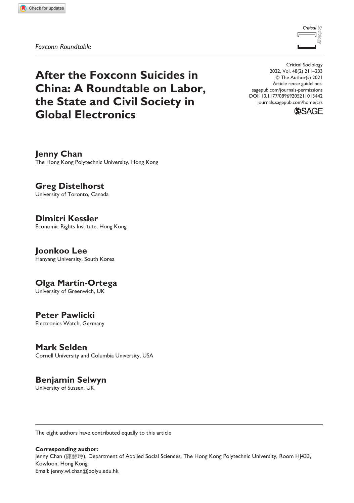*Foxconn Roundtable*



**After the Foxconn Suicides in China: A Roundtable on Labor, the State and Civil Society in Global Electronics**

**Jenny Chan** The Hong Kong Polytechnic University, Hong Kong

**Greg Distelhorst** University of Toronto, Canada

**Dimitri Kessler** Economic Rights Institute, Hong Kong

**Joonkoo Lee** Hanyang University, South Korea

**Olga Martin-Ortega** University of Greenwich, UK

**Peter Pawlicki** Electronics Watch, Germany

**Mark Selden** Cornell University and Columbia University, USA

**Benjamin Selwyn**

University of Sussex, UK

The eight authors have contributed equally to this article

**Corresponding author:** Jenny Chan (陳慧玲), Department of Applied Social Sciences, The Hong Kong Polytechnic University, Room HJ433, Kowloon, Hong Kong. Email: [jenny.wl.chan@polyu.edu.hk](mailto:jenny.wl.chan@polyu.edu.hk)

DOI: 10.1177/08969205211013442 Critical Sociology 2022, Vol. 48(2) 211–233 © The Author(s) 2021 Article reuse guidelines: [sagepub.com/journals-permissions](https://uk.sagepub.com/en-gb/journals-permissions) [journals.sagepub.com/home/crs](https://journals.sagepub.com/home/crs)

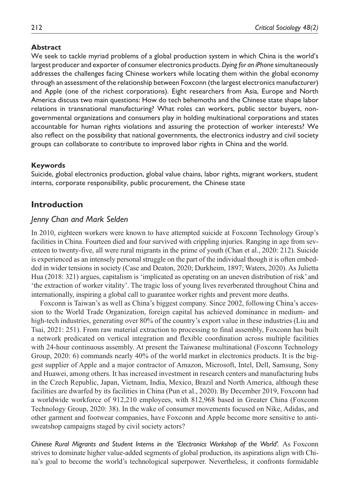#### **Abstract**

We seek to tackle myriad problems of a global production system in which China is the world's largest producer and exporter of consumer electronics products. *Dying for an iPhone* simultaneously addresses the challenges facing Chinese workers while locating them within the global economy through an assessment of the relationship between Foxconn (the largest electronics manufacturer) and Apple (one of the richest corporations). Eight researchers from Asia, Europe and North America discuss two main questions: How do tech behemoths and the Chinese state shape labor relations in transnational manufacturing? What roles can workers, public sector buyers, nongovernmental organizations and consumers play in holding multinational corporations and states accountable for human rights violations and assuring the protection of worker interests? We also reflect on the possibility that national governments, the electronics industry and civil society groups can collaborate to contribute to improved labor rights in China and the world.

#### **Keywords**

Suicide, global electronics production, global value chains, labor rights, migrant workers, student interns, corporate responsibility, public procurement, the Chinese state

### **Introduction**

#### *Jenny Chan and Mark Selden*

In 2010, eighteen workers were known to have attempted suicide at Foxconn Technology Group's facilities in China. Fourteen died and four survived with crippling injuries. Ranging in age from seventeen to twenty-five, all were rural migrants in the prime of youth (Chan et al., 2020: 212). Suicide is experienced as an intensely personal struggle on the part of the individual though it is often embedded in wider tensions in society (Case and Deaton, 2020; Durkheim, 1897; Waters, 2020). As Julietta Hua (2018: 321) argues, capitalism is 'implicated as operating on an uneven distribution of risk' and 'the extraction of worker vitality'. The tragic loss of young lives reverberated throughout China and internationally, inspiring a global call to guarantee worker rights and prevent more deaths.

Foxconn is Taiwan's as well as China's biggest company. Since 2002, following China's accession to the World Trade Organization, foreign capital has achieved dominance in medium- and high-tech industries, generating over 80% of the country's export value in these industries (Liu and Tsai, 2021: 251). From raw material extraction to processing to final assembly, Foxconn has built a network predicated on vertical integration and flexible coordination across multiple facilities with 24-hour continuous assembly. At present the Taiwanese multinational (Foxconn Technology Group, 2020: 6) commands nearly 40% of the world market in electronics products. It is the biggest supplier of Apple and a major contractor of Amazon, Microsoft, Intel, Dell, Samsung, Sony and Huawei, among others. It has increased investment in research centers and manufacturing hubs in the Czech Republic, Japan, Vietnam, India, Mexico, Brazil and North America, although these facilities are dwarfed by its facilities in China (Pun et al., 2020). By December 2019, Foxconn had a worldwide workforce of 912,210 employees, with 812,968 based in Greater China (Foxconn Technology Group, 2020: 38). In the wake of consumer movements focused on Nike, Adidas, and other garment and footwear companies, have Foxconn and Apple become more sensitive to antisweatshop campaigns staged by civil society actors?

*Chinese Rural Migrants and Student Interns in the 'Electronics Workshop of the World'.* As Foxconn strives to dominate higher value-added segments of global production, its aspirations align with China's goal to become the world's technological superpower. Nevertheless, it confronts formidable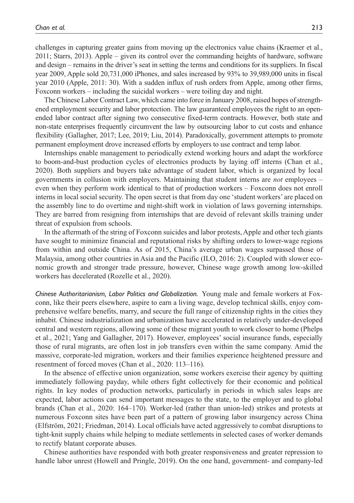challenges in capturing greater gains from moving up the electronics value chains (Kraemer et al., 2011; Starrs, 2013). Apple – given its control over the commanding heights of hardware, software and design – remains in the driver's seat in setting the terms and conditions for its suppliers. In fiscal year 2009, Apple sold 20,731,000 iPhones, and sales increased by 93% to 39,989,000 units in fiscal year 2010 (Apple, 2011: 30). With a sudden influx of rush orders from Apple, among other firms, Foxconn workers – including the suicidal workers – were toiling day and night.

The Chinese Labor Contract Law, which came into force in January 2008, raised hopes of strengthened employment security and labor protection. The law guaranteed employees the right to an openended labor contract after signing two consecutive fixed-term contracts. However, both state and non-state enterprises frequently circumvent the law by outsourcing labor to cut costs and enhance flexibility (Gallagher, 2017; Lee, 2019; Liu, 2014). Paradoxically, government attempts to promote permanent employment drove increased efforts by employers to use contract and temp labor.

Internships enable management to periodically extend working hours and adapt the workforce to boom-and-bust production cycles of electronics products by laying off interns (Chan et al., 2020). Both suppliers and buyers take advantage of student labor, which is organized by local governments in collusion with employers. Maintaining that student interns are *not* employees – even when they perform work identical to that of production workers – Foxconn does not enroll interns in local social security. The open secret is that from day one 'student workers' are placed on the assembly line to do overtime and night-shift work in violation of laws governing internships. They are barred from resigning from internships that are devoid of relevant skills training under threat of expulsion from schools.

In the aftermath of the string of Foxconn suicides and labor protests, Apple and other tech giants have sought to minimize financial and reputational risks by shifting orders to lower-wage regions from within and outside China. As of 2015, China's average urban wages surpassed those of Malaysia, among other countries in Asia and the Pacific (ILO, 2016: 2). Coupled with slower economic growth and stronger trade pressure, however, Chinese wage growth among low-skilled workers has decelerated (Rozelle et al., 2020).

*Chinese Authoritarianism, Labor Politics and Globalization.* Young male and female workers at Foxconn, like their peers elsewhere, aspire to earn a living wage, develop technical skills, enjoy comprehensive welfare benefits, marry, and secure the full range of citizenship rights in the cities they inhabit. Chinese industrialization and urbanization have accelerated in relatively under-developed central and western regions, allowing some of these migrant youth to work closer to home (Phelps et al., 2021; Yang and Gallagher, 2017). However, employees' social insurance funds, especially those of rural migrants, are often lost in job transfers even within the same company. Amid the massive, corporate-led migration, workers and their families experience heightened pressure and resentment of forced moves (Chan et al., 2020: 113–116).

In the absence of effective union organization, some workers exercise their agency by quitting immediately following payday, while others fight collectively for their economic and political rights. In key nodes of production networks, particularly in periods in which sales leaps are expected, labor actions can send important messages to the state, to the employer and to global brands (Chan et al., 2020: 164–170). Worker-led (rather than union-led) strikes and protests at numerous Foxconn sites have been part of a pattern of growing labor insurgency across China (Elfström, 2021; Friedman, 2014). Local officials have acted aggressively to combat disruptions to tight-knit supply chains while helping to mediate settlements in selected cases of worker demands to rectify blatant corporate abuses.

Chinese authorities have responded with both greater responsiveness and greater repression to handle labor unrest (Howell and Pringle, 2019). On the one hand, government- and company-led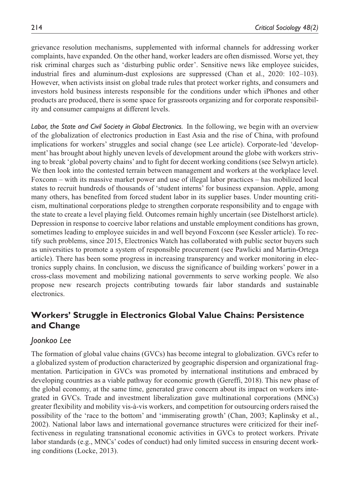grievance resolution mechanisms, supplemented with informal channels for addressing worker complaints, have expanded. On the other hand, worker leaders are often dismissed. Worse yet, they risk criminal charges such as 'disturbing public order'. Sensitive news like employee suicides, industrial fires and aluminum-dust explosions are suppressed (Chan et al., 2020: 102–103). However, when activists insist on global trade rules that protect worker rights, and consumers and investors hold business interests responsible for the conditions under which iPhones and other products are produced, there is some space for grassroots organizing and for corporate responsibility and consumer campaigns at different levels.

*Labor, the State and Civil Society in Global Electronics.* In the following, we begin with an overview of the globalization of electronics production in East Asia and the rise of China, with profound implications for workers' struggles and social change (see Lee article). Corporate-led 'development' has brought about highly uneven levels of development around the globe with workers striving to break 'global poverty chains' and to fight for decent working conditions (see Selwyn article). We then look into the contested terrain between management and workers at the workplace level. Foxconn – with its massive market power and use of illegal labor practices – has mobilized local states to recruit hundreds of thousands of 'student interns' for business expansion. Apple, among many others, has benefited from forced student labor in its supplier bases. Under mounting criticism, multinational corporations pledge to strengthen corporate responsibility and to engage with the state to create a level playing field. Outcomes remain highly uncertain (see Distelhorst article). Depression in response to coercive labor relations and unstable employment conditions has grown, sometimes leading to employee suicides in and well beyond Foxconn (see Kessler article). To rectify such problems, since 2015, Electronics Watch has collaborated with public sector buyers such as universities to promote a system of responsible procurement (see Pawlicki and Martin-Ortega article). There has been some progress in increasing transparency and worker monitoring in electronics supply chains. In conclusion, we discuss the significance of building workers' power in a cross-class movement and mobilizing national governments to serve working people. We also propose new research projects contributing towards fair labor standards and sustainable electronics.

# **Workers' Struggle in Electronics Global Value Chains: Persistence and Change**

# *Joonkoo Lee*

The formation of global value chains (GVCs) has become integral to globalization. GVCs refer to a globalized system of production characterized by geographic dispersion and organizational fragmentation. Participation in GVCs was promoted by international institutions and embraced by developing countries as a viable pathway for economic growth (Gereffi, 2018). This new phase of the global economy, at the same time, generated grave concern about its impact on workers integrated in GVCs. Trade and investment liberalization gave multinational corporations (MNCs) greater flexibility and mobility vis-à-vis workers, and competition for outsourcing orders raised the possibility of the 'race to the bottom' and 'immiserating growth' (Chan, 2003; Kaplinsky et al., 2002). National labor laws and international governance structures were criticized for their ineffectiveness in regulating transnational economic activities in GVCs to protect workers. Private labor standards (e.g., MNCs' codes of conduct) had only limited success in ensuring decent working conditions (Locke, 2013).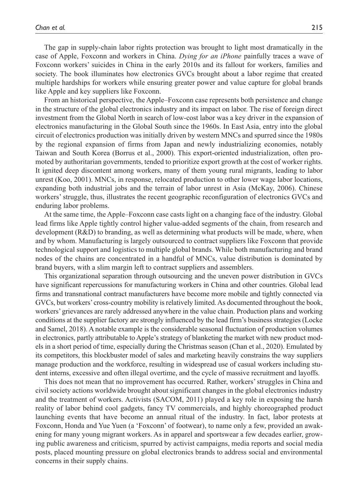The gap in supply-chain labor rights protection was brought to light most dramatically in the case of Apple, Foxconn and workers in China. *Dying for an iPhone* painfully traces a wave of Foxconn workers' suicides in China in the early 2010s and its fallout for workers, families and society. The book illuminates how electronics GVCs brought about a labor regime that created multiple hardships for workers while ensuring greater power and value capture for global brands like Apple and key suppliers like Foxconn.

From an historical perspective, the Apple–Foxconn case represents both persistence and change in the structure of the global electronics industry and its impact on labor. The rise of foreign direct investment from the Global North in search of low-cost labor was a key driver in the expansion of electronics manufacturing in the Global South since the 1960s. In East Asia, entry into the global circuit of electronics production was initially driven by western MNCs and spurred since the 1980s by the regional expansion of firms from Japan and newly industrializing economies, notably Taiwan and South Korea (Borrus et al., 2000). This export-oriented industrialization, often promoted by authoritarian governments, tended to prioritize export growth at the cost of worker rights. It ignited deep discontent among workers, many of them young rural migrants, leading to labor unrest (Koo, 2001). MNCs, in response, relocated production to other lower wage labor locations, expanding both industrial jobs and the terrain of labor unrest in Asia (McKay, 2006). Chinese workers' struggle, thus, illustrates the recent geographic reconfiguration of electronics GVCs and enduring labor problems.

At the same time, the Apple–Foxconn case casts light on a changing face of the industry. Global lead firms like Apple tightly control higher value-added segments of the chain, from research and development (R&D) to branding, as well as determining what products will be made, where, when and by whom. Manufacturing is largely outsourced to contract suppliers like Foxconn that provide technological support and logistics to multiple global brands. While both manufacturing and brand nodes of the chains are concentrated in a handful of MNCs, value distribution is dominated by brand buyers, with a slim margin left to contract suppliers and assemblers.

This organizational separation through outsourcing and the uneven power distribution in GVCs have significant repercussions for manufacturing workers in China and other countries. Global lead firms and transnational contract manufacturers have become more mobile and tightly connected via GVCs, but workers' cross-country mobility is relatively limited. As documented throughout the book, workers' grievances are rarely addressed anywhere in the value chain. Production plans and working conditions at the supplier factory are strongly influenced by the lead firm's business strategies (Locke and Samel, 2018). A notable example is the considerable seasonal fluctuation of production volumes in electronics, partly attributable to Apple's strategy of blanketing the market with new product models in a short period of time, especially during the Christmas season (Chan et al., 2020). Emulated by its competitors, this blockbuster model of sales and marketing heavily constrains the way suppliers manage production and the workforce, resulting in widespread use of casual workers including student interns, excessive and often illegal overtime, and the cycle of massive recruitment and layoffs.

This does not mean that no improvement has occurred. Rather, workers' struggles in China and civil society actions worldwide brought about significant changes in the global electronics industry and the treatment of workers. Activists (SACOM, 2011) played a key role in exposing the harsh reality of labor behind cool gadgets, fancy TV commercials, and highly choreographed product launching events that have become an annual ritual of the industry. In fact, labor protests at Foxconn, Honda and Yue Yuen (a 'Foxconn' of footwear), to name only a few, provided an awakening for many young migrant workers. As in apparel and sportswear a few decades earlier, growing public awareness and criticism, spurred by activist campaigns, media reports and social media posts, placed mounting pressure on global electronics brands to address social and environmental concerns in their supply chains.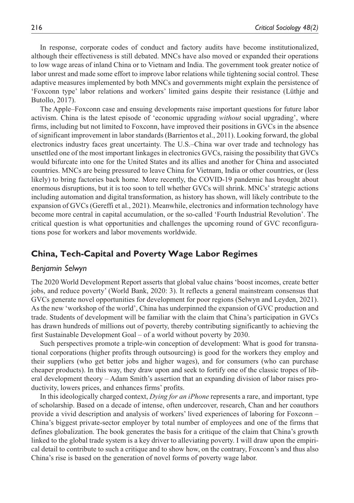In response, corporate codes of conduct and factory audits have become institutionalized, although their effectiveness is still debated. MNCs have also moved or expanded their operations to low wage areas of inland China or to Vietnam and India. The government took greater notice of labor unrest and made some effort to improve labor relations while tightening social control. These adaptive measures implemented by both MNCs and governments might explain the persistence of 'Foxconn type' labor relations and workers' limited gains despite their resistance (Lüthje and Butollo, 2017).

The Apple–Foxconn case and ensuing developments raise important questions for future labor activism. China is the latest episode of 'economic upgrading *without* social upgrading', where firms, including but not limited to Foxconn, have improved their positions in GVCs in the absence of significant improvement in labor standards (Barrientos et al., 2011). Looking forward, the global electronics industry faces great uncertainty. The U.S.–China war over trade and technology has unsettled one of the most important linkages in electronics GVCs, raising the possibility that GVCs would bifurcate into one for the United States and its allies and another for China and associated countries. MNCs are being pressured to leave China for Vietnam, India or other countries, or (less likely) to bring factories back home. More recently, the COVID-19 pandemic has brought about enormous disruptions, but it is too soon to tell whether GVCs will shrink. MNCs' strategic actions including automation and digital transformation, as history has shown, will likely contribute to the expansion of GVCs (Gereffi et al., 2021). Meanwhile, electronics and information technology have become more central in capital accumulation, or the so-called 'Fourth Industrial Revolution'. The critical question is what opportunities and challenges the upcoming round of GVC reconfigurations pose for workers and labor movements worldwide.

# **China, Tech-Capital and Poverty Wage Labor Regimes**

#### *Benjamin Selwyn*

The 2020 World Development Report asserts that global value chains 'boost incomes, create better jobs, and reduce poverty' (World Bank, 2020: 3). It reflects a general mainstream consensus that GVCs generate novel opportunities for development for poor regions (Selwyn and Leyden, 2021). As the new 'workshop of the world', China has underpinned the expansion of GVC production and trade. Students of development will be familiar with the claim that China's participation in GVCs has drawn hundreds of millions out of poverty, thereby contributing significantly to achieving the first Sustainable Development Goal – of a world without poverty by 2030.

Such perspectives promote a triple-win conception of development: What is good for transnational corporations (higher profits through outsourcing) is good for the workers they employ and their suppliers (who get better jobs and higher wages), and for consumers (who can purchase cheaper products). In this way, they draw upon and seek to fortify one of the classic tropes of liberal development theory – Adam Smith's assertion that an expanding division of labor raises productivity, lowers prices, and enhances firms' profits.

In this ideologically charged context, *Dying for an iPhone* represents a rare, and important, type of scholarship. Based on a decade of intense, often undercover, research, Chan and her coauthors provide a vivid description and analysis of workers' lived experiences of laboring for Foxconn – China's biggest private-sector employer by total number of employees and one of the firms that defines globalization. The book generates the basis for a critique of the claim that China's growth linked to the global trade system is a key driver to alleviating poverty. I will draw upon the empirical detail to contribute to such a critique and to show how, on the contrary, Foxconn's and thus also China's rise is based on the generation of novel forms of poverty wage labor.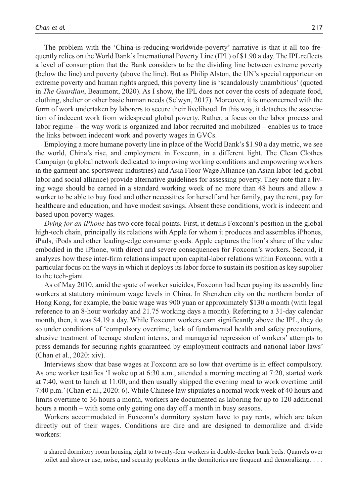The problem with the 'China-is-reducing-worldwide-poverty' narrative is that it all too frequently relies on the World Bank's International Poverty Line (IPL) of \$1.90 a day. The IPL reflects a level of consumption that the Bank considers to be the dividing line between extreme poverty (below the line) and poverty (above the line). But as Philip Alston, the UN's special rapporteur on extreme poverty and human rights argued, this poverty line is 'scandalously unambitious' (quoted in *The Guardian*, Beaumont, 2020). As I show, the IPL does not cover the costs of adequate food, clothing, shelter or other basic human needs (Selwyn, 2017). Moreover, it is unconcerned with the form of work undertaken by laborers to secure their livelihood. In this way, it detaches the association of indecent work from widespread global poverty. Rather, a focus on the labor process and labor regime – the way work is organized and labor recruited and mobilized – enables us to trace the links between indecent work and poverty wages in GVCs.

Employing a more humane poverty line in place of the World Bank's \$1.90 a day metric, we see the world, China's rise, and employment in Foxconn, in a different light. The Clean Clothes Campaign (a global network dedicated to improving working conditions and empowering workers in the garment and sportswear industries) and Asia Floor Wage Alliance (an Asian labor-led global labor and social alliance) provide alternative guidelines for assessing poverty. They note that a living wage should be earned in a standard working week of no more than 48 hours and allow a worker to be able to buy food and other necessities for herself and her family, pay the rent, pay for healthcare and education, and have modest savings. Absent these conditions, work is indecent and based upon poverty wages.

*Dying for an iPhone* has two core focal points. First, it details Foxconn's position in the global high-tech chain, principally its relations with Apple for whom it produces and assembles iPhones, iPads, iPods and other leading-edge consumer goods. Apple captures the lion's share of the value embodied in the iPhone, with direct and severe consequences for Foxconn's workers. Second, it analyzes how these inter-firm relations impact upon capital-labor relations within Foxconn, with a particular focus on the ways in which it deploys its labor force to sustain its position as key supplier to the tech-giant.

As of May 2010, amid the spate of worker suicides, Foxconn had been paying its assembly line workers at statutory minimum wage levels in China. In Shenzhen city on the northern border of Hong Kong, for example, the basic wage was 900 yuan or approximately \$130 a month (with legal reference to an 8-hour workday and 21.75 working days a month). Referring to a 31-day calendar month, then, it was \$4.19 a day. While Foxconn workers earn significantly above the IPL, they do so under conditions of 'compulsory overtime, lack of fundamental health and safety precautions, abusive treatment of teenage student interns, and managerial repression of workers' attempts to press demands for securing rights guaranteed by employment contracts and national labor laws' (Chan et al., 2020: xiv).

Interviews show that base wages at Foxconn are so low that overtime is in effect compulsory. As one worker testifies 'I woke up at 6:30 a.m., attended a morning meeting at 7:20, started work at 7:40, went to lunch at 11:00, and then usually skipped the evening meal to work overtime until 7:40 p.m.' (Chan et al., 2020: 6). While Chinese law stipulates a normal work week of 40 hours and limits overtime to 36 hours a month, workers are documented as laboring for up to 120 additional hours a month – with some only getting one day off a month in busy seasons.

Workers accommodated in Foxconn's dormitory system have to pay rents, which are taken directly out of their wages. Conditions are dire and are designed to demoralize and divide workers:

a shared dormitory room housing eight to twenty-four workers in double-decker bunk beds. Quarrels over toilet and shower use, noise, and security problems in the dormitories are frequent and demoralizing. . . .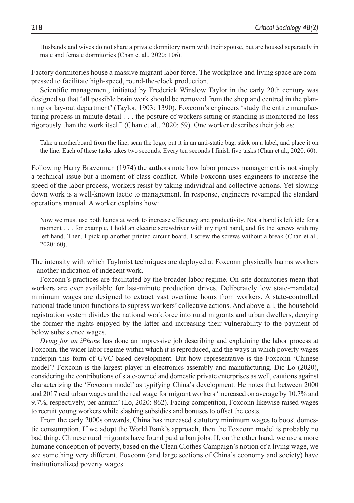Husbands and wives do not share a private dormitory room with their spouse, but are housed separately in male and female dormitories (Chan et al., 2020: 106).

Factory dormitories house a massive migrant labor force. The workplace and living space are compressed to facilitate high-speed, round-the-clock production.

Scientific management, initiated by Frederick Winslow Taylor in the early 20th century was designed so that 'all possible brain work should be removed from the shop and centred in the planning or lay-out department' (Taylor, 1903: 1390). Foxconn's engineers 'study the entire manufacturing process in minute detail . . . the posture of workers sitting or standing is monitored no less rigorously than the work itself' (Chan et al., 2020: 59). One worker describes their job as:

Take a motherboard from the line, scan the logo, put it in an anti-static bag, stick on a label, and place it on the line. Each of these tasks takes two seconds. Every ten seconds I finish five tasks (Chan et al., 2020: 60).

Following Harry Braverman (1974) the authors note how labor process management is not simply a technical issue but a moment of class conflict. While Foxconn uses engineers to increase the speed of the labor process, workers resist by taking individual and collective actions. Yet slowing down work is a well-known tactic to management. In response, engineers revamped the standard operations manual. A worker explains how:

Now we must use both hands at work to increase efficiency and productivity. Not a hand is left idle for a moment . . . for example, I hold an electric screwdriver with my right hand, and fix the screws with my left hand. Then, I pick up another printed circuit board. I screw the screws without a break (Chan et al., 2020: 60).

The intensity with which Taylorist techniques are deployed at Foxconn physically harms workers – another indication of indecent work.

Foxconn's practices are facilitated by the broader labor regime. On-site dormitories mean that workers are ever available for last-minute production drives. Deliberately low state-mandated minimum wages are designed to extract vast overtime hours from workers. A state-controlled national trade union functions to supress workers' collective actions. And above-all, the household registration system divides the national workforce into rural migrants and urban dwellers, denying the former the rights enjoyed by the latter and increasing their vulnerability to the payment of below subsistence wages.

*Dying for an iPhone* has done an impressive job describing and explaining the labor process at Foxconn, the wider labor regime within which it is reproduced, and the ways in which poverty wages underpin this form of GVC-based development. But how representative is the Foxconn 'Chinese model'? Foxconn is the largest player in electronics assembly and manufacturing. Dic Lo (2020), considering the contributions of state-owned and domestic private enterprises as well, cautions against characterizing the 'Foxconn model' as typifying China's development. He notes that between 2000 and 2017 real urban wages and the real wage for migrant workers 'increased on average by 10.7% and 9.7%, respectively, per annum' (Lo, 2020: 862). Facing competition, Foxconn likewise raised wages to recruit young workers while slashing subsidies and bonuses to offset the costs.

From the early 2000s onwards, China has increased statutory minimum wages to boost domestic consumption. If we adopt the World Bank's approach, then the Foxconn model is probably no bad thing. Chinese rural migrants have found paid urban jobs. If, on the other hand, we use a more humane conception of poverty, based on the Clean Clothes Campaign's notion of a living wage, we see something very different. Foxconn (and large sections of China's economy and society) have institutionalized poverty wages.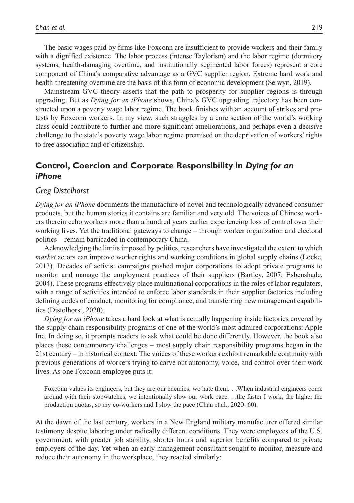The basic wages paid by firms like Foxconn are insufficient to provide workers and their family with a dignified existence. The labor process (intense Taylorism) and the labor regime (dormitory systems, health-damaging overtime, and institutionally segmented labor forces) represent a core component of China's comparative advantage as a GVC supplier region. Extreme hard work and health-threatening overtime are the basis of this form of economic development (Selwyn, 2019).

Mainstream GVC theory asserts that the path to prosperity for supplier regions is through upgrading. But as *Dying for an iPhone* shows, China's GVC upgrading trajectory has been constructed upon a poverty wage labor regime. The book finishes with an account of strikes and protests by Foxconn workers. In my view, such struggles by a core section of the world's working class could contribute to further and more significant ameliorations, and perhaps even a decisive challenge to the state's poverty wage labor regime premised on the deprivation of workers' rights to free association and of citizenship.

# **Control, Coercion and Corporate Responsibility in** *Dying for an iPhone*

#### *Greg Distelhorst*

*Dying for an iPhone* documents the manufacture of novel and technologically advanced consumer products, but the human stories it contains are familiar and very old. The voices of Chinese workers therein echo workers more than a hundred years earlier experiencing loss of control over their working lives. Yet the traditional gateways to change – through worker organization and electoral politics – remain barricaded in contemporary China.

Acknowledging the limits imposed by politics, researchers have investigated the extent to which *market* actors can improve worker rights and working conditions in global supply chains (Locke, 2013). Decades of activist campaigns pushed major corporations to adopt private programs to monitor and manage the employment practices of their suppliers (Bartley, 2007; Esbenshade, 2004). These programs effectively place multinational corporations in the roles of labor regulators, with a range of activities intended to enforce labor standards in their supplier factories including defining codes of conduct, monitoring for compliance, and transferring new management capabilities (Distelhorst, 2020).

*Dying for an iPhone* takes a hard look at what is actually happening inside factories covered by the supply chain responsibility programs of one of the world's most admired corporations: Apple Inc. In doing so, it prompts readers to ask what could be done differently. However, the book also places these contemporary challenges – most supply chain responsibility programs began in the 21st century – in historical context. The voices of these workers exhibit remarkable continuity with previous generations of workers trying to carve out autonomy, voice, and control over their work lives. As one Foxconn employee puts it:

Foxconn values its engineers, but they are our enemies; we hate them. . .When industrial engineers come around with their stopwatches, we intentionally slow our work pace. . .the faster I work, the higher the production quotas, so my co-workers and I slow the pace (Chan et al., 2020: 60).

At the dawn of the last century, workers in a New England military manufacturer offered similar testimony despite laboring under radically different conditions. They were employees of the U.S. government, with greater job stability, shorter hours and superior benefits compared to private employers of the day. Yet when an early management consultant sought to monitor, measure and reduce their autonomy in the workplace, they reacted similarly: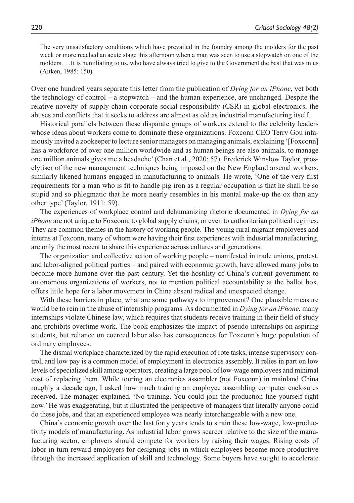The very unsatisfactory conditions which have prevailed in the foundry among the molders for the past week or more reached an acute stage this afternoon when a man was seen to use a stopwatch on one of the molders. . .It is humiliating to us, who have always tried to give to the Government the best that was in us (Aitken, 1985: 150).

Over one hundred years separate this letter from the publication of *Dying for an iPhone*, yet both the technology of control – a stopwatch – and the human experience, are unchanged. Despite the relative novelty of supply chain corporate social responsibility (CSR) in global electronics, the abuses and conflicts that it seeks to address are almost as old as industrial manufacturing itself.

Historical parallels between these disparate groups of workers extend to the celebrity leaders whose ideas about workers come to dominate these organizations. Foxconn CEO Terry Gou infamously invited a zookeeper to lecture senior managers on managing animals, explaining '[Foxconn] has a workforce of over one million worldwide and as human beings are also animals, to manage one million animals gives me a headache' (Chan et al., 2020: 57). Frederick Winslow Taylor, proselytiser of the new management techniques being imposed on the New England arsenal workers, similarly likened humans engaged in manufacturing to animals. He wrote, 'One of the very first requirements for a man who is fit to handle pig iron as a regular occupation is that he shall be so stupid and so phlegmatic that he more nearly resembles in his mental make-up the ox than any other type' (Taylor, 1911: 59).

The experiences of workplace control and dehumanizing rhetoric documented in *Dying for an iPhone* are not unique to Foxconn, to global supply chains, or even to authoritarian political regimes. They are common themes in the history of working people. The young rural migrant employees and interns at Foxconn, many of whom were having their first experiences with industrial manufacturing, are only the most recent to share this experience across cultures and generations.

The organization and collective action of working people – manifested in trade unions, protest, and labor-aligned political parties – and paired with economic growth, have allowed many jobs to become more humane over the past century. Yet the hostility of China's current government to autonomous organizations of workers, not to mention political accountability at the ballot box, offers little hope for a labor movement in China absent radical and unexpected change.

With these barriers in place, what are some pathways to improvement? One plausible measure would be to rein in the abuse of internship programs. As documented in *Dying for an iPhone*, many internships violate Chinese law, which requires that students receive training in their field of study and prohibits overtime work. The book emphasizes the impact of pseudo-internships on aspiring students, but reliance on coerced labor also has consequences for Foxconn's huge population of ordinary employees.

The dismal workplace characterized by the rapid execution of rote tasks, intense supervisory control, and low pay is a common model of employment in electronics assembly. It relies in part on low levels of specialized skill among operators, creating a large pool of low-wage employees and minimal cost of replacing them. While touring an electronics assembler (not Foxconn) in mainland China roughly a decade ago, I asked how much training an employee assembling computer enclosures received. The manager explained, 'No training. You could join the production line yourself right now.' He was exaggerating, but it illustrated the perspective of managers that literally anyone could do these jobs, and that an experienced employee was nearly interchangeable with a new one.

China's economic growth over the last forty years tends to strain these low-wage, low-productivity models of manufacturing. As industrial labor grows scarcer relative to the size of the manufacturing sector, employers should compete for workers by raising their wages. Rising costs of labor in turn reward employers for designing jobs in which employees become more productive through the increased application of skill and technology. Some buyers have sought to accelerate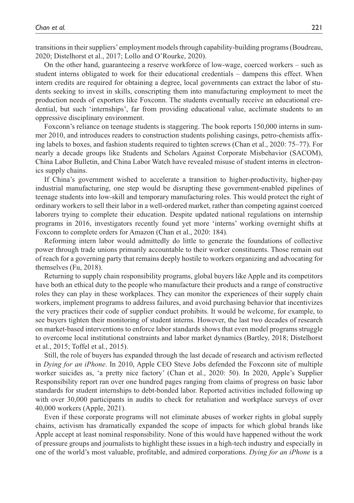transitions in their suppliers' employment models through capability-building programs (Boudreau, 2020; Distelhorst et al., 2017; Lollo and O'Rourke, 2020).

On the other hand, guaranteeing a reserve workforce of low-wage, coerced workers – such as student interns obligated to work for their educational credentials – dampens this effect. When intern credits are required for obtaining a degree, local governments can extract the labor of students seeking to invest in skills, conscripting them into manufacturing employment to meet the production needs of exporters like Foxconn. The students eventually receive an educational credential, but such 'internships', far from providing educational value, acclimate students to an oppressive disciplinary environment.

Foxconn's reliance on teenage students is staggering. The book reports 150,000 interns in summer 2010, and introduces readers to construction students polishing casings, petro-chemists affixing labels to boxes, and fashion students required to tighten screws (Chan et al., 2020: 75–77). For nearly a decade groups like Students and Scholars Against Corporate Misbehavior (SACOM), China Labor Bulletin, and China Labor Watch have revealed misuse of student interns in electronics supply chains.

If China's government wished to accelerate a transition to higher-productivity, higher-pay industrial manufacturing, one step would be disrupting these government-enabled pipelines of teenage students into low-skill and temporary manufacturing roles. This would protect the right of ordinary workers to sell their labor in a well-ordered market, rather than competing against coerced laborers trying to complete their education. Despite updated national regulations on internship programs in 2016, investigators recently found yet more 'interns' working overnight shifts at Foxconn to complete orders for Amazon (Chan et al., 2020: 184).

Reforming intern labor would admittedly do little to generate the foundations of collective power through trade unions primarily accountable to their worker constituents. Those remain out of reach for a governing party that remains deeply hostile to workers organizing and advocating for themselves (Fu, 2018).

Returning to supply chain responsibility programs, global buyers like Apple and its competitors have both an ethical duty to the people who manufacture their products and a range of constructive roles they can play in these workplaces. They can monitor the experiences of their supply chain workers, implement programs to address failures, and avoid purchasing behavior that incentivizes the very practices their code of supplier conduct prohibits. It would be welcome, for example, to see buyers tighten their monitoring of student interns. However, the last two decades of research on market-based interventions to enforce labor standards shows that even model programs struggle to overcome local institutional constraints and labor market dynamics (Bartley, 2018; Distelhorst et al., 2015; Toffel et al., 2015).

Still, the role of buyers has expanded through the last decade of research and activism reflected in *Dying for an iPhone*. In 2010, Apple CEO Steve Jobs defended the Foxconn site of multiple worker suicides as, 'a pretty nice factory' (Chan et al., 2020: 50). In 2020, Apple's Supplier Responsibility report ran over one hundred pages ranging from claims of progress on basic labor standards for student internships to debt-bonded labor. Reported activities included following up with over 30,000 participants in audits to check for retaliation and workplace surveys of over 40,000 workers (Apple, 2021).

Even if these corporate programs will not eliminate abuses of worker rights in global supply chains, activism has dramatically expanded the scope of impacts for which global brands like Apple accept at least nominal responsibility. None of this would have happened without the work of pressure groups and journalists to highlight these issues in a high-tech industry and especially in one of the world's most valuable, profitable, and admired corporations. *Dying for an iPhone* is a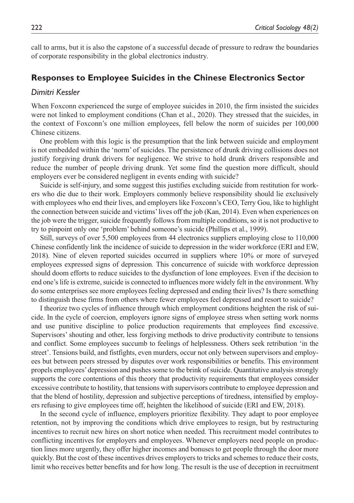call to arms, but it is also the capstone of a successful decade of pressure to redraw the boundaries of corporate responsibility in the global electronics industry.

## **Responses to Employee Suicides in the Chinese Electronics Sector**

### *Dimitri Kessler*

When Foxconn experienced the surge of employee suicides in 2010, the firm insisted the suicides were not linked to employment conditions (Chan et al., 2020). They stressed that the suicides, in the context of Foxconn's one million employees, fell below the norm of suicides per 100,000 Chinese citizens.

One problem with this logic is the presumption that the link between suicide and employment is not embedded within the 'norm' of suicides. The persistence of drunk driving collisions does not justify forgiving drunk drivers for negligence. We strive to hold drunk drivers responsible and reduce the number of people driving drunk. Yet some find the question more difficult, should employers ever be considered negligent in events ending with suicide?

Suicide is self-injury, and some suggest this justifies excluding suicide from restitution for workers who die due to their work. Employers commonly believe responsibility should lie exclusively with employees who end their lives, and employers like Foxconn's CEO, Terry Gou, like to highlight the connection between suicide and victims' lives off the job (Kan, 2014). Even when experiences on the job were the trigger, suicide frequently follows from multiple conditions, so it is not productive to try to pinpoint only one 'problem' behind someone's suicide (Phillips et al., 1999).

Still, surveys of over 5,500 employees from 44 electronics suppliers employing close to 110,000 Chinese confidently link the incidence of suicide to depression in the wider workforce (ERI and EW, 2018). Nine of eleven reported suicides occurred in suppliers where 10% or more of surveyed employees expressed signs of depression. This concurrence of suicide with workforce depression should doom efforts to reduce suicides to the dysfunction of lone employees. Even if the decision to end one's life is extreme, suicide is connected to influences more widely felt in the environment. Why do some enterprises see more employees feeling depressed and ending their lives? Is there something to distinguish these firms from others where fewer employees feel depressed and resort to suicide?

I theorize two cycles of influence through which employment conditions heighten the risk of suicide. In the cycle of coercion, employers ignore signs of employee stress when setting work norms and use punitive discipline to police production requirements that employees find excessive. Supervisors' shouting and other, less forgiving methods to drive productivity contribute to tensions and conflict. Some employees succumb to feelings of helplessness. Others seek retribution 'in the street'. Tensions build, and fistfights, even murders, occur not only between supervisors and employees but between peers stressed by disputes over work responsibilities or benefits. This environment propels employees' depression and pushes some to the brink of suicide. Quantitative analysis strongly supports the core contentions of this theory that productivity requirements that employees consider excessive contribute to hostility, that tensions with supervisors contribute to employee depression and that the blend of hostility, depression and subjective perceptions of tiredness, intensified by employers refusing to give employees time off, heighten the likelihood of suicide (ERI and EW, 2018).

In the second cycle of influence, employers prioritize flexibility. They adapt to poor employee retention, not by improving the conditions which drive employees to resign, but by restructuring incentives to recruit new hires on short notice when needed. This recruitment model contributes to conflicting incentives for employers and employees. Whenever employers need people on production lines more urgently, they offer higher incomes and bonuses to get people through the door more quickly. But the cost of these incentives drives employers to tricks and schemes to reduce their costs, limit who receives better benefits and for how long. The result is the use of deception in recruitment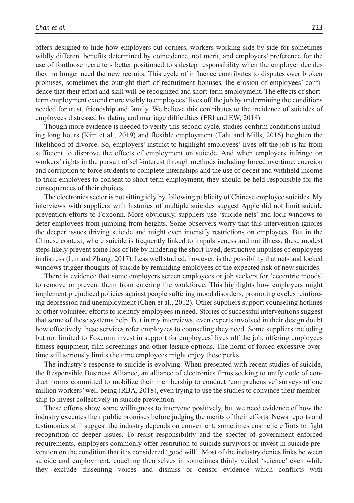offers designed to hide how employers cut corners, workers working side by side for sometimes wildly different benefits determined by coincidence, not merit, and employers' preference for the use of footloose recruiters better positioned to sidestep responsibility when the employer decides they no longer need the new recruits. This cycle of influence contributes to disputes over broken promises, sometimes the outright theft of recruitment bonuses, the erosion of employees' confidence that their effort and skill will be recognized and short-term employment. The effects of shortterm employment extend more visibly to employees' lives off the job by undermining the conditions needed for trust, friendship and family. We believe this contributes to the incidence of suicides of employees distressed by dating and marriage difficulties (ERI and EW, 2018).

Though more evidence is needed to verify this second cycle, studies confirm conditions including long hours (Kim et al., 2019) and flexible employment (Täht and Mills, 2016) heighten the likelihood of divorce. So, employers' instinct to highlight employees' lives off the job is far from sufficient to disprove the effects of employment on suicide. And when employers infringe on workers' rights in the pursuit of self-interest through methods including forced overtime, coercion and corruption to force students to complete internships and the use of deceit and withheld income to trick employees to consent to short-term employment, they should be held responsible for the consequences of their choices.

The electronics sector is not sitting idly by following publicity of Chinese employee suicides. My interviews with suppliers with histories of multiple suicides suggest Apple did not limit suicide prevention efforts to Foxconn. More obviously, suppliers use 'suicide nets' and lock windows to deter employees from jumping from heights. Some observers worry that this intervention ignores the deeper issues driving suicide and might even intensify restrictions on employees. But in the Chinese context, where suicide is frequently linked to impulsiveness and not illness, these modest steps likely prevent some loss of life by hindering the short-lived, destructive impulses of employees in distress (Lin and Zhang, 2017). Less well studied, however, is the possibility that nets and locked windows trigger thoughts of suicide by reminding employees of the expected risk of new suicides.

There is evidence that some employers screen employees or job seekers for 'eccentric moods' to remove or prevent them from entering the workforce. This highlights how employers might implement prejudiced policies against people suffering mood disorders, promoting cycles reinforcing depression and unemployment (Chen et al., 2012). Other suppliers support counseling hotlines or other volunteer efforts to identify employees in need. Stories of successful interventions suggest that some of these systems help. But in my interviews, even experts involved in their design doubt how effectively these services refer employees to counseling they need. Some suppliers including but not limited to Foxconn invest in support for employees' lives off the job, offering employees fitness equipment, film screenings and other leisure options. The norm of forced excessive overtime still seriously limits the time employees might enjoy these perks.

The industry's response to suicide is evolving. When presented with recent studies of suicide, the Responsible Business Alliance, an alliance of electronics firms seeking to unify code of conduct norms committed to mobilize their membership to conduct 'comprehensive' surveys of one million workers' well-being (RBA, 2018), even trying to use the studies to convince their membership to invest collectively in suicide prevention.

These efforts show some willingness to intervene positively, but we need evidence of how the industry executes their public promises before judging the merits of their efforts. News reports and testimonies still suggest the industry depends on convenient, sometimes cosmetic efforts to fight recognition of deeper issues. To resist responsibility and the specter of government enforced requirements, employers commonly offer restitution to suicide survivors or invest in suicide prevention on the condition that it is considered 'good will'. Most of the industry denies links between suicide and employment, couching themselves in sometimes thinly veiled 'science' even while they exclude dissenting voices and dismiss or censor evidence which conflicts with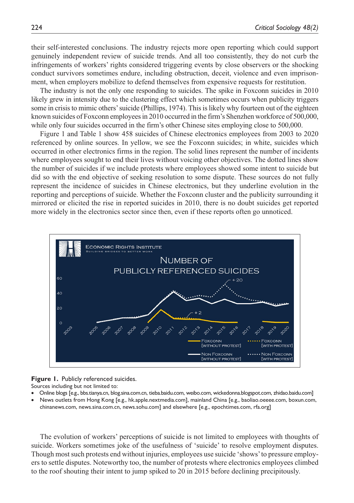their self-interested conclusions. The industry rejects more open reporting which could support genuinely independent review of suicide trends. And all too consistently, they do not curb the infringements of workers' rights considered triggering events by close observers or the shocking conduct survivors sometimes endure, including obstruction, deceit, violence and even imprisonment, when employers mobilize to defend themselves from expensive requests for restitution.

The industry is not the only one responding to suicides. The spike in Foxconn suicides in 2010 likely grew in intensity due to the clustering effect which sometimes occurs when publicity triggers some in crisis to mimic others' suicide (Phillips, 1974). This is likely why fourteen out of the eighteen known suicides of Foxconn employees in 2010 occurred in the firm's Shenzhen workforce of 500,000, while only four suicides occurred in the firm's other Chinese sites employing close to 500,000.

Figure 1 and Table 1 show 458 suicides of Chinese electronics employees from 2003 to 2020 referenced by online sources. In yellow, we see the Foxconn suicides; in white, suicides which occurred in other electronics firms in the region. The solid lines represent the number of incidents where employees sought to end their lives without voicing other objectives. The dotted lines show the number of suicides if we include protests where employees showed some intent to suicide but did so with the end objective of seeking resolution to some dispute. These sources do not fully represent the incidence of suicides in Chinese electronics, but they underline evolution in the reporting and perceptions of suicide. Whether the Foxconn cluster and the publicity surrounding it mirrored or elicited the rise in reported suicides in 2010, there is no doubt suicides get reported more widely in the electronics sector since then, even if these reports often go unnoticed.



**Figure 1.** Publicly referenced suicides.

Sources including but not limited to:

- Online blogs [e.g., bbs.tianya.cn, blog.sina.com.cn, tieba.baidu.com, weibo.com, wickedonna.blogspot.com, zhidao.baidu.com]
- News outlets from Hong Kong [e.g., hk.apple.nextmedia.com], mainland China [e.g., baoliao.oeeee.com, boxun.com, chinanews.com, news.sina.com.cn, news.sohu.com] and elsewhere [e.g., epochtimes.com, rfa.org]

The evolution of workers' perceptions of suicide is not limited to employees with thoughts of suicide. Workers sometimes joke of the usefulness of 'suicide' to resolve employment disputes. Though most such protests end without injuries, employees use suicide 'shows' to pressure employers to settle disputes. Noteworthy too, the number of protests where electronics employees climbed to the roof shouting their intent to jump spiked to 20 in 2015 before declining precipitously.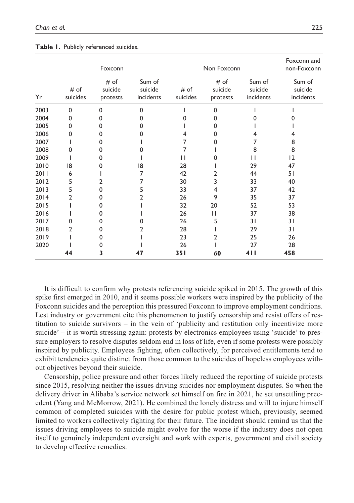|      | Foxconn          |                             |                                | Non Foxconn      |                             |                                | Foxconn and<br>non-Foxconn     |
|------|------------------|-----------------------------|--------------------------------|------------------|-----------------------------|--------------------------------|--------------------------------|
| Yr   | # of<br>suicides | # of<br>suicide<br>protests | Sum of<br>suicide<br>incidents | # of<br>suicides | # of<br>suicide<br>protests | Sum of<br>suicide<br>incidents | Sum of<br>suicide<br>incidents |
| 2003 | $\Omega$         | 0                           | $\Omega$                       |                  | 0                           |                                |                                |
| 2004 | 0                | O                           | o                              |                  | 0                           |                                |                                |
| 2005 | O                | o                           |                                |                  | o                           |                                |                                |
| 2006 | O                | 0                           |                                | 4                | 0                           |                                | 4                              |
| 2007 |                  | 0                           |                                |                  | n                           |                                | 8                              |
| 2008 | ი                | 0                           |                                |                  |                             | 8                              | 8                              |
| 2009 |                  | 0                           |                                | Н                |                             | Н                              | $ 2\rangle$                    |
| 2010 | 18               | o                           | 18                             | 28               |                             | 29                             | 47                             |
| 2011 | 6                |                             |                                | 42               | 2                           | 44                             | 51                             |
| 2012 | 5                | 2                           |                                | 30               | 3                           | 33                             | 40                             |
| 2013 | 5                | $\Omega$                    | 5                              | 33               | 4                           | 37                             | 42                             |
| 2014 | 2                | 0                           |                                | 26               | 9                           | 35                             | 37                             |
| 2015 |                  | 0                           |                                | 32               | 20                          | 52                             | 53                             |
| 2016 |                  | 0                           |                                | 26               | Н                           | 37                             | 38                             |
| 2017 | O                | 0                           |                                | 26               | 5                           | 31                             | 31                             |
| 2018 | 2                | 0                           |                                | 28               |                             | 29                             | 31                             |
| 2019 |                  | 0                           |                                | 23               | 2                           | 25                             | 26                             |
| 2020 |                  | 0                           |                                | 26               |                             | 27                             | 28                             |
|      | 44               | 3                           | 47                             | <b>351</b>       | 60                          | 411                            | 458                            |

|  |  | Table 1. Publicly referenced suicides. |  |
|--|--|----------------------------------------|--|
|--|--|----------------------------------------|--|

It is difficult to confirm why protests referencing suicide spiked in 2015. The growth of this spike first emerged in 2010, and it seems possible workers were inspired by the publicity of the Foxconn suicides and the perception this pressured Foxconn to improve employment conditions. Lest industry or government cite this phenomenon to justify censorship and resist offers of restitution to suicide survivors – in the vein of 'publicity and restitution only incentivize more suicide' – it is worth stressing again: protests by electronics employees using 'suicide' to pressure employers to resolve disputes seldom end in loss of life, even if some protests were possibly inspired by publicity. Employees fighting, often collectively, for perceived entitlements tend to exhibit tendencies quite distinct from those common to the suicides of hopeless employees without objectives beyond their suicide.

Censorship, police pressure and other forces likely reduced the reporting of suicide protests since 2015, resolving neither the issues driving suicides nor employment disputes. So when the delivery driver in Alibaba's service network set himself on fire in 2021, he set unsettling precedent (Yang and McMorrow, 2021). He combined the lonely distress and will to injure himself common of completed suicides with the desire for public protest which, previously, seemed limited to workers collectively fighting for their future. The incident should remind us that the issues driving employees to suicide might evolve for the worse if the industry does not open itself to genuinely independent oversight and work with experts, government and civil society to develop effective remedies.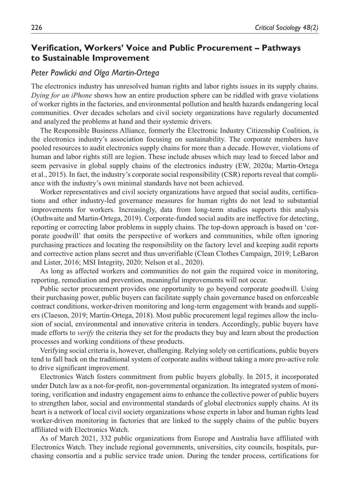# **Verification, Workers' Voice and Public Procurement – Pathways to Sustainable Improvement**

## *Peter Pawlicki and Olga Martin-Ortega*

The electronics industry has unresolved human rights and labor rights issues in its supply chains. *Dying for an iPhone* shows how an entire production sphere can be riddled with grave violations of worker rights in the factories, and environmental pollution and health hazards endangering local communities. Over decades scholars and civil society organizations have regularly documented and analyzed the problems at hand and their systemic drivers.

The Responsible Business Alliance, formerly the Electronic Industry Citizenship Coalition, is the electronics industry's association focusing on sustainability. The corporate members have pooled resources to audit electronics supply chains for more than a decade. However, violations of human and labor rights still are legion. These include abuses which may lead to forced labor and seem pervasive in global supply chains of the electronics industry (EW, 2020a; Martin-Ortega et al., 2015). In fact, the industry's corporate social responsibility (CSR) reports reveal that compliance with the industry's own minimal standards have not been achieved.

Worker representatives and civil society organizations have argued that social audits, certifications and other industry-led governance measures for human rights do not lead to substantial improvements for workers. Increasingly, data from long-term studies supports this analysis (Outhwaite and Martin-Ortega, 2019). Corporate-funded social audits are ineffective for detecting, reporting or correcting labor problems in supply chains. The top-down approach is based on 'corporate goodwill' that omits the perspective of workers and communities, while often ignoring purchasing practices and locating the responsibility on the factory level and keeping audit reports and corrective action plans secret and thus unverifiable (Clean Clothes Campaign, 2019; LeBaron and Lister, 2016; MSI Integrity, 2020; Nelson et al., 2020).

As long as affected workers and communities do not gain the required voice in monitoring, reporting, remediation and prevention, meaningful improvements will not occur.

Public sector procurement provides one opportunity to go beyond corporate goodwill. Using their purchasing power, public buyers can facilitate supply chain governance based on enforceable contract conditions, worker-driven monitoring and long-term engagement with brands and suppliers (Claeson, 2019; Martin-Ortega, 2018). Most public procurement legal regimes allow the inclusion of social, environmental and innovative criteria in tenders. Accordingly, public buyers have made efforts to *verify* the criteria they set for the products they buy and learn about the production processes and working conditions of these products.

Verifying social criteria is, however, challenging. Relying solely on certifications, public buyers tend to fall back on the traditional system of corporate audits without taking a more pro-active role to drive significant improvement.

Electronics Watch fosters commitment from public buyers globally. In 2015, it incorporated under Dutch law as a not-for-profit, non-governmental organization. Its integrated system of monitoring, verification and industry engagement aims to enhance the collective power of public buyers to strengthen labor, social and environmental standards of global electronics supply chains. At its heart is a network of local civil society organizations whose experts in labor and human rights lead worker-driven monitoring in factories that are linked to the supply chains of the public buyers affiliated with Electronics Watch.

As of March 2021, 332 public organizations from Europe and Australia have affiliated with Electronics Watch. They include regional governments, universities, city councils, hospitals, purchasing consortia and a public service trade union. During the tender process, certifications for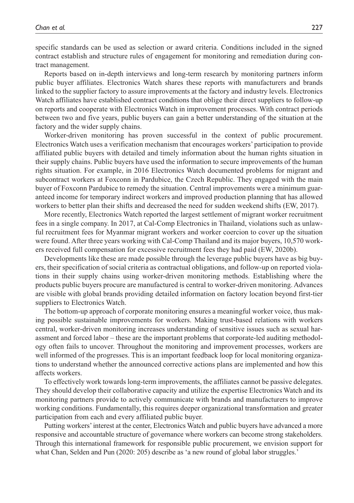specific standards can be used as selection or award criteria. Conditions included in the signed contract establish and structure rules of engagement for monitoring and remediation during contract management.

Reports based on in-depth interviews and long-term research by monitoring partners inform public buyer affiliates. Electronics Watch shares these reports with manufacturers and brands linked to the supplier factory to assure improvements at the factory and industry levels. Electronics Watch affiliates have established contract conditions that oblige their direct suppliers to follow-up on reports and cooperate with Electronics Watch in improvement processes. With contract periods between two and five years, public buyers can gain a better understanding of the situation at the factory and the wider supply chains.

Worker-driven monitoring has proven successful in the context of public procurement. Electronics Watch uses a verification mechanism that encourages workers' participation to provide affiliated public buyers with detailed and timely information about the human rights situation in their supply chains. Public buyers have used the information to secure improvements of the human rights situation. For example, in 2016 Electronics Watch documented problems for migrant and subcontract workers at Foxconn in Pardubice, the Czech Republic. They engaged with the main buyer of Foxconn Pardubice to remedy the situation. Central improvements were a minimum guaranteed income for temporary indirect workers and improved production planning that has allowed workers to better plan their shifts and decreased the need for sudden weekend shifts (EW, 2017).

More recently, Electronics Watch reported the largest settlement of migrant worker recruitment fees in a single company. In 2017, at Cal-Comp Electronics in Thailand, violations such as unlawful recruitment fees for Myanmar migrant workers and worker coercion to cover up the situation were found. After three years working with Cal-Comp Thailand and its major buyers, 10,570 workers received full compensation for excessive recruitment fees they had paid (EW, 2020b).

Developments like these are made possible through the leverage public buyers have as big buyers, their specification of social criteria as contractual obligations, and follow-up on reported violations in their supply chains using worker-driven monitoring methods. Establishing where the products public buyers procure are manufactured is central to worker-driven monitoring. Advances are visible with global brands providing detailed information on factory location beyond first-tier suppliers to Electronics Watch.

The bottom-up approach of corporate monitoring ensures a meaningful worker voice, thus making possible sustainable improvements for workers. Making trust-based relations with workers central, worker-driven monitoring increases understanding of sensitive issues such as sexual harassment and forced labor – these are the important problems that corporate-led auditing methodology often fails to uncover. Throughout the monitoring and improvement processes, workers are well informed of the progresses. This is an important feedback loop for local monitoring organizations to understand whether the announced corrective actions plans are implemented and how this affects workers.

To effectively work towards long-term improvements, the affiliates cannot be passive delegates. They should develop their collaborative capacity and utilize the expertise Electronics Watch and its monitoring partners provide to actively communicate with brands and manufacturers to improve working conditions. Fundamentally, this requires deeper organizational transformation and greater participation from each and every affiliated public buyer.

Putting workers' interest at the center, Electronics Watch and public buyers have advanced a more responsive and accountable structure of governance where workers can become strong stakeholders. Through this international framework for responsible public procurement, we envision support for what Chan, Selden and Pun (2020: 205) describe as 'a new round of global labor struggles.'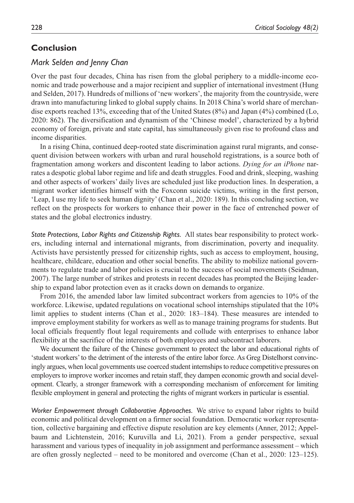# **Conclusion**

## *Mark Selden and Jenny Chan*

Over the past four decades, China has risen from the global periphery to a middle-income economic and trade powerhouse and a major recipient and supplier of international investment (Hung and Selden, 2017). Hundreds of millions of 'new workers', the majority from the countryside, were drawn into manufacturing linked to global supply chains. In 2018 China's world share of merchandise exports reached 13%, exceeding that of the United States (8%) and Japan (4%) combined (Lo, 2020: 862). The diversification and dynamism of the 'Chinese model', characterized by a hybrid economy of foreign, private and state capital, has simultaneously given rise to profound class and income disparities.

In a rising China, continued deep-rooted state discrimination against rural migrants, and consequent division between workers with urban and rural household registrations, is a source both of fragmentation among workers and discontent leading to labor actions. *Dying for an iPhone* narrates a despotic global labor regime and life and death struggles. Food and drink, sleeping, washing and other aspects of workers' daily lives are scheduled just like production lines. In desperation, a migrant worker identifies himself with the Foxconn suicide victims, writing in the first person, 'Leap, I use my life to seek human dignity' (Chan et al., 2020: 189). In this concluding section, we reflect on the prospects for workers to enhance their power in the face of entrenched power of states and the global electronics industry.

*State Protections, Labor Rights and Citizenship Rights.* All states bear responsibility to protect workers, including internal and international migrants, from discrimination, poverty and inequality. Activists have persistently pressed for citizenship rights, such as access to employment, housing, healthcare, childcare, education and other social benefits. The ability to mobilize national governments to regulate trade and labor policies is crucial to the success of social movements (Seidman, 2007). The large number of strikes and protests in recent decades has prompted the Beijing leadership to expand labor protection even as it cracks down on demands to organize.

From 2016, the amended labor law limited subcontract workers from agencies to 10% of the workforce. Likewise, updated regulations on vocational school internships stipulated that the 10% limit applies to student interns (Chan et al., 2020: 183–184). These measures are intended to improve employment stability for workers as well as to manage training programs for students. But local officials frequently flout legal requirements and collude with enterprises to enhance labor flexibility at the sacrifice of the interests of both employees and subcontract laborers.

We document the failure of the Chinese government to protect the labor and educational rights of 'student workers' to the detriment of the interests of the entire labor force. As Greg Distelhorst convincingly argues, when local governments use coerced student internships to reduce competitive pressures on employers to improve worker incomes and retain staff, they dampen economic growth and social development. Clearly, a stronger framework with a corresponding mechanism of enforcement for limiting flexible employment in general and protecting the rights of migrant workers in particular is essential.

*Worker Empowerment through Collaborative Approaches.* We strive to expand labor rights to build economic and political development on a firmer social foundation. Democratic worker representation, collective bargaining and effective dispute resolution are key elements (Anner, 2012; Appelbaum and Lichtenstein, 2016; Kuruvilla and Li, 2021). From a gender perspective, sexual harassment and various types of inequality in job assignment and performance assessment – which are often grossly neglected – need to be monitored and overcome (Chan et al., 2020: 123–125).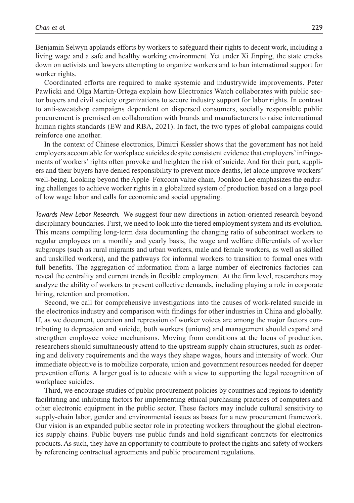Benjamin Selwyn applauds efforts by workers to safeguard their rights to decent work, including a living wage and a safe and healthy working environment. Yet under Xi Jinping, the state cracks down on activists and lawyers attempting to organize workers and to ban international support for worker rights.

Coordinated efforts are required to make systemic and industrywide improvements. Peter Pawlicki and Olga Martin-Ortega explain how Electronics Watch collaborates with public sector buyers and civil society organizations to secure industry support for labor rights. In contrast to anti-sweatshop campaigns dependent on dispersed consumers, socially responsible public procurement is premised on collaboration with brands and manufacturers to raise international human rights standards (EW and RBA, 2021). In fact, the two types of global campaigns could reinforce one another.

In the context of Chinese electronics, Dimitri Kessler shows that the government has not held employers accountable for workplace suicides despite consistent evidence that employers' infringements of workers' rights often provoke and heighten the risk of suicide. And for their part, suppliers and their buyers have denied responsibility to prevent more deaths, let alone improve workers' well-being. Looking beyond the Apple–Foxconn value chain, Joonkoo Lee emphasizes the enduring challenges to achieve worker rights in a globalized system of production based on a large pool of low wage labor and calls for economic and social upgrading.

*Towards New Labor Research.* We suggest four new directions in action-oriented research beyond disciplinary boundaries. First, we need to look into the tiered employment system and its evolution. This means compiling long-term data documenting the changing ratio of subcontract workers to regular employees on a monthly and yearly basis, the wage and welfare differentials of worker subgroups (such as rural migrants and urban workers, male and female workers, as well as skilled and unskilled workers), and the pathways for informal workers to transition to formal ones with full benefits. The aggregation of information from a large number of electronics factories can reveal the centrality and current trends in flexible employment. At the firm level, researchers may analyze the ability of workers to present collective demands, including playing a role in corporate hiring, retention and promotion.

Second, we call for comprehensive investigations into the causes of work-related suicide in the electronics industry and comparison with findings for other industries in China and globally. If, as we document, coercion and repression of worker voices are among the major factors contributing to depression and suicide, both workers (unions) and management should expand and strengthen employee voice mechanisms. Moving from conditions at the locus of production, researchers should simultaneously attend to the upstream supply chain structures, such as ordering and delivery requirements and the ways they shape wages, hours and intensity of work. Our immediate objective is to mobilize corporate, union and government resources needed for deeper prevention efforts. A larger goal is to educate with a view to supporting the legal recognition of workplace suicides.

Third, we encourage studies of public procurement policies by countries and regions to identify facilitating and inhibiting factors for implementing ethical purchasing practices of computers and other electronic equipment in the public sector. These factors may include cultural sensitivity to supply-chain labor, gender and environmental issues as bases for a new procurement framework. Our vision is an expanded public sector role in protecting workers throughout the global electronics supply chains. Public buyers use public funds and hold significant contracts for electronics products. As such, they have an opportunity to contribute to protect the rights and safety of workers by referencing contractual agreements and public procurement regulations.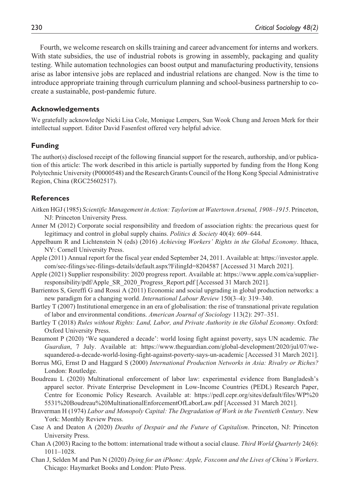Fourth, we welcome research on skills training and career advancement for interns and workers. With state subsidies, the use of industrial robots is growing in assembly, packaging and quality testing. While automation technologies can boost output and manufacturing productivity, tensions arise as labor intensive jobs are replaced and industrial relations are changed. Now is the time to introduce appropriate training through curriculum planning and school-business partnership to cocreate a sustainable, post-pandemic future.

#### **Acknowledgements**

We gratefully acknowledge Nicki Lisa Cole, Monique Lempers, Sun Wook Chung and Jeroen Merk for their intellectual support. Editor David Fasenfest offered very helpful advice.

## **Funding**

The author(s) disclosed receipt of the following financial support for the research, authorship, and/or publication of this article: The work described in this article is partially supported by funding from the Hong Kong Polytechnic University (P0000548) and the Research Grants Council of the Hong Kong Special Administrative Region, China (RGC25602517).

## **References**

- Aitken HGJ (1985) *Scientific Management in Action: Taylorism at Watertown Arsenal, 1908–1915*. Princeton, NJ: Princeton University Press.
- Anner M (2012) Corporate social responsibility and freedom of association rights: the precarious quest for legitimacy and control in global supply chains. *Politics & Society* 40(4): 609–644.
- Appelbaum R and Lichtenstein N (eds) (2016) *Achieving Workers' Rights in the Global Economy*. Ithaca, NY: Cornell University Press.
- Apple (2011) Annual report for the fiscal year ended September 24, 2011. Available at: [https://investor.apple.](https://investor.apple.com/sec-filings/sec-filings-details/default.aspx?FilingId=8204587) [com/sec-filings/sec-filings-details/default.aspx?FilingId=8204587](https://investor.apple.com/sec-filings/sec-filings-details/default.aspx?FilingId=8204587) [Accessed 31 March 2021].
- Apple (2021) Supplier responsibility: 2020 progress report. Available at: [https://www.apple.com/ca/supplier](https://www.apple.com/ca/supplier-responsibility/pdf/Apple_SR_2020_Progress_Report.pdf)[responsibility/pdf/Apple\\_SR\\_2020\\_Progress\\_Report.pdf](https://www.apple.com/ca/supplier-responsibility/pdf/Apple_SR_2020_Progress_Report.pdf) [Accessed 31 March 2021].
- Barrientos S, Gereffi G and Rossi A (2011) Economic and social upgrading in global production networks: a new paradigm for a changing world. *International Labour Review* 150(3–4): 319–340.
- Bartley T (2007) Institutional emergence in an era of globalisation: the rise of transnational private regulation of labor and environmental conditions. *American Journal of Sociology* 113(2): 297–351.
- Bartley T (2018) *Rules without Rights: Land, Labor, and Private Authority in the Global Economy*. Oxford: Oxford University Press.
- Beaumont P (2020) 'We squandered a decade': world losing fight against poverty, says UN academic. *The Guardian*, 7 July. Available at: [https://www.theguardian.com/global-development/2020/jul/07/we](https://www.theguardian.com/global-development/2020/jul/07/we-squandered-a-decade-world-losing-fight-against-poverty-says-un-academic)[squandered-a-decade-world-losing-fight-against-poverty-says-un-academic](https://www.theguardian.com/global-development/2020/jul/07/we-squandered-a-decade-world-losing-fight-against-poverty-says-un-academic) [Accessed 31 March 2021].
- Borrus MG, Ernst D and Haggard S (2000) *International Production Networks in Asia: Rivalry or Riches?* London: Routledge.
- Boudreau L (2020) Multinational enforcement of labor law: experimental evidence from Bangladesh's apparel sector. Private Enterprise Development in Low-Income Countries (PEDL) Research Paper, Centre for Economic Policy Research. Available at: [https://pedl.cepr.org/sites/default/files/WP%20](https://pedl.cepr.org/sites/default/files/WP%205531%20Boudreau%20MultinationalEnforcementOfLaborLaw.pdf) [5531%20Boudreau%20MultinationalEnforcementOfLaborLaw.pdf](https://pedl.cepr.org/sites/default/files/WP%205531%20Boudreau%20MultinationalEnforcementOfLaborLaw.pdf) [Accessed 31 March 2021].
- Braverman H (1974) *Labor and Monopoly Capital: The Degradation of Work in the Twentieth Century*. New York: Monthly Review Press.
- Case A and Deaton A (2020) *Deaths of Despair and the Future of Capitalism*. Princeton, NJ: Princeton University Press.
- Chan A (2003) Racing to the bottom: international trade without a social clause. *Third World Quarterly* 24(6): 1011–1028.
- Chan J, Selden M and Pun N (2020) *Dying for an iPhone: Apple, Foxconn and the Lives of China's Workers*. Chicago: Haymarket Books and London: Pluto Press.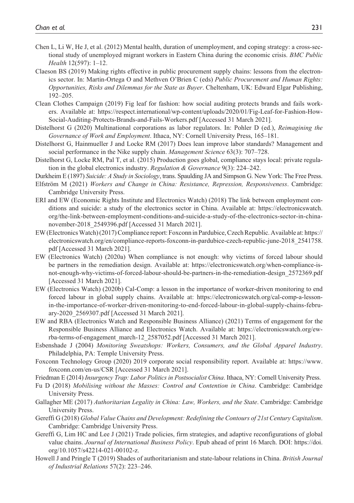- Chen L, Li W, He J, et al. (2012) Mental health, duration of unemployment, and coping strategy: a cross-sectional study of unemployed migrant workers in Eastern China during the economic crisis. *BMC Public Health* 12(597): 1–12.
- Claeson BS (2019) Making rights effective in public procurement supply chains: lessons from the electronics sector. In: Martin-Ortega O and Methven O'Brien C (eds) *Public Procurement and Human Rights: Opportunities, Risks and Dilemmas for the State as Buyer*. Cheltenham, UK: Edward Elgar Publishing, 192–205.
- Clean Clothes Campaign (2019) Fig leaf for fashion: how social auditing protects brands and fails workers. Available at: [https://respect.international/wp-content/uploads/2020/01/Fig-Leaf-for-Fashion-How-](https://respect.international/wp-content/uploads/2020/01/Fig-Leaf-for-Fashion-How-Social-Auditing-Protects-Brands-and-Fails-Workers.pdf)[Social-Auditing-Protects-Brands-and-Fails-Workers.pdf](https://respect.international/wp-content/uploads/2020/01/Fig-Leaf-for-Fashion-How-Social-Auditing-Protects-Brands-and-Fails-Workers.pdf) [Accessed 31 March 2021].
- Distelhorst G (2020) Multinational corporations as labor regulators. In: Pohler D (ed.), *Reimagining the Governance of Work and Employment*. Ithaca, NY: Cornell University Press, 165–181.
- Distelhorst G, Hainmueller J and Locke RM (2017) Does lean improve labor standards? Management and social performance in the Nike supply chain. *Management Science* 63(3): 707–728.
- Distelhorst G, Locke RM, Pal T, et al. (2015) Production goes global, compliance stays local: private regulation in the global electronics industry. *Regulation & Governance* 9(3): 224–242.

Durkheim E (1897) *Suicide: A Study in Sociology*, trans. Spaulding JA and Simpson G. New York: The Free Press.

- Elfström M (2021) *Workers and Change in China: Resistance, Repression, Responsiveness*. Cambridge: Cambridge University Press.
- ERI and EW (Economic Rights Institute and Electronics Watch) (2018) The link between employment conditions and suicide: a study of the electronics sector in China. Available at: [https://electronicswatch.](https://electronicswatch.org/the-link-between-employment-conditions-and-suicide-a-study-of-the-electronics-sector-in-china-november-2018_2549396.pdf) [org/the-link-between-employment-conditions-and-suicide-a-study-of-the-electronics-sector-in-china](https://electronicswatch.org/the-link-between-employment-conditions-and-suicide-a-study-of-the-electronics-sector-in-china-november-2018_2549396.pdf)[november-2018\\_2549396.pdf](https://electronicswatch.org/the-link-between-employment-conditions-and-suicide-a-study-of-the-electronics-sector-in-china-november-2018_2549396.pdf) [Accessed 31 March 2021].
- EW (Electronics Watch) (2017) Compliance report: Foxconn in Pardubice, Czech Republic. Available at: [https://](https://electronicswatch.org/en/compliance-reports-foxconn-in-pardubice-czech-republic-june-2018_2541758.pdf) [electronicswatch.org/en/compliance-reports-foxconn-in-pardubice-czech-republic-june-2018\\_2541758.](https://electronicswatch.org/en/compliance-reports-foxconn-in-pardubice-czech-republic-june-2018_2541758.pdf) [pdf](https://electronicswatch.org/en/compliance-reports-foxconn-in-pardubice-czech-republic-june-2018_2541758.pdf) [Accessed 31 March 2021].
- EW (Electronics Watch) (2020a) When compliance is not enough: why victims of forced labour should be partners in the remediation design. Available at: [https://electronicswatch.org/when-compliance-is](https://electronicswatch.org/when-compliance-is-not-enough-why-victims-of-forced-labour-should-be-partners-in-the-remediation-design_2572369.pdf)[not-enough-why-victims-of-forced-labour-should-be-partners-in-the-remediation-design\\_2572369.pdf](https://electronicswatch.org/when-compliance-is-not-enough-why-victims-of-forced-labour-should-be-partners-in-the-remediation-design_2572369.pdf) [Accessed 31 March 2021].
- EW (Electronics Watch) (2020b) Cal-Comp: a lesson in the importance of worker-driven monitoring to end forced labour in global supply chains. Available at: [https://electronicswatch.org/cal-comp-a-lesson](https://electronicswatch.org/cal-comp-a-lesson-in-the-importance-of-worker-driven-monitoring-to-end-forced-labour-in-global-supply-chains-february-2020_2569307.pdf)[in-the-importance-of-worker-driven-monitoring-to-end-forced-labour-in-global-supply-chains-febru](https://electronicswatch.org/cal-comp-a-lesson-in-the-importance-of-worker-driven-monitoring-to-end-forced-labour-in-global-supply-chains-february-2020_2569307.pdf)[ary-2020\\_2569307.pdf](https://electronicswatch.org/cal-comp-a-lesson-in-the-importance-of-worker-driven-monitoring-to-end-forced-labour-in-global-supply-chains-february-2020_2569307.pdf) [Accessed 31 March 2021].
- EW and RBA (Electronics Watch and Responsible Business Alliance) (2021) Terms of engagement for the Responsible Business Alliance and Electronics Watch. Available at: [https://electronicswatch.org/ew](https://electronicswatch.org/ew-rba-terms-of-engagement_march-12_2587052.pdf)[rba-terms-of-engagement\\_march-12\\_2587052.pdf](https://electronicswatch.org/ew-rba-terms-of-engagement_march-12_2587052.pdf) [Accessed 31 March 2021].
- Esbenshade J (2004) *Monitoring Sweatshops: Workers, Consumers, and the Global Apparel Industry*. Philadelphia, PA: Temple University Press.
- Foxconn Technology Group (2020) 2019 corporate social responsibility report. Available at: [https://www.](https://www.foxconn.com/en-us/CSR) [foxconn.com/en-us/CSR](https://www.foxconn.com/en-us/CSR) [Accessed 31 March 2021].

Friedman E (2014) *Insurgency Trap: Labor Politics in Postsocialist China*. Ithaca, NY: Cornell University Press.

- Fu D (2018) *Mobilising without the Masses: Control and Contention in China*. Cambridge: Cambridge University Press.
- Gallagher ME (2017) *Authoritarian Legality in China: Law, Workers, and the State*. Cambridge: Cambridge University Press.
- Gereffi G (2018) *Global Value Chains and Development: Redefining the Contours of 21st Century Capitalism*. Cambridge: Cambridge University Press.
- Gereffi G, Lim HC and Lee J (2021) Trade policies, firm strategies, and adaptive reconfigurations of global value chains. *Journal of International Business Policy*. Epub ahead of print 16 March. DOI: [https://doi.](https://doi.org/10.1057/s42214-021-00102-z) [org/10.1057/s42214-021-00102-z](https://doi.org/10.1057/s42214-021-00102-z).
- Howell J and Pringle T (2019) Shades of authoritarianism and state-labour relations in China. *British Journal of Industrial Relations* 57(2): 223–246.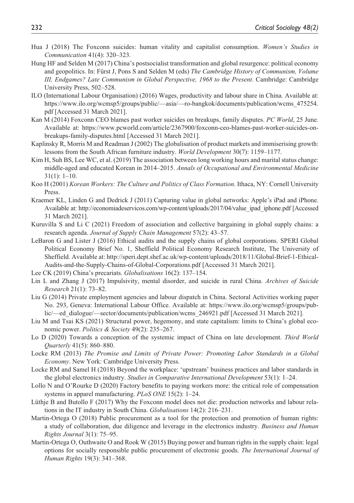- Hua J (2018) The Foxconn suicides: human vitality and capitalist consumption. *Women's Studies in Communication* 41(4): 320–323.
- Hung HF and Selden M (2017) China's postsocialist transformation and global resurgence: political economy and geopolitics. In: Fürst J, Pons S and Selden M (eds) *The Cambridge History of Communism, Volume III, Endgames? Late Communism in Global Perspective, 1968 to the Present*. Cambridge: Cambridge University Press, 502–528.
- ILO (International Labour Organisation) (2016) Wages, productivity and labour share in China. Available at: [https://www.ilo.org/wcmsp5/groups/public/—asia/—ro-bangkok/documents/publication/wcms\\_475254.](https://www.ilo.org/wcmsp5/groups/public/�asia/�ro-bangkok/documents/publication/wcms_475254.pdf) [pdf](https://www.ilo.org/wcmsp5/groups/public/�asia/�ro-bangkok/documents/publication/wcms_475254.pdf) [Accessed 31 March 2021].
- Kan M (2014) Foxconn CEO blames past worker suicides on breakups, family disputes. *PC World*, 25 June. Available at: [https://www.pcworld.com/article/2367900/foxconn-ceo-blames-past-worker-suicides-on](https://www.pcworld.com/article/2367900/foxconn-ceo-blames-past-worker-suicides-on-breakups-family-disputes.html)[breakups-family-disputes.html](https://www.pcworld.com/article/2367900/foxconn-ceo-blames-past-worker-suicides-on-breakups-family-disputes.html) [Accessed 31 March 2021].
- Kaplinsky R, Morris M and Readman J (2002) The globalisation of product markets and immiserising growth: lessons from the South African furniture industry. *World Development* 30(7): 1159–1177.
- Kim H, Suh BS, Lee WC, et al. (2019) The association between long working hours and marital status change: middle-aged and educated Korean in 2014–2015. *Annals of Occupational and Environmental Medicine* 31(1): 1–10.
- Koo H (2001) *Korean Workers: The Culture and Politics of Class Formation*. Ithaca, NY: Cornell University Press.
- Kraemer KL, Linden G and Dedrick J (2011) Capturing value in global networks: Apple's iPad and iPhone. Available at: [http://economiadeservicos.com/wp-content/uploads/2017/04/value\\_ipad\\_iphone.pdf](http://economiadeservicos.com/wp-content/uploads/2017/04/value_ipad_iphone.pdf) [Accessed 31 March 2021].
- Kuruvilla S and Li C (2021) Freedom of association and collective bargaining in global supply chains: a research agenda. *Journal of Supply Chain Management* 57(2): 43–57.
- LeBaron G and Lister J (2016) Ethical audits and the supply chains of global corporations. SPERI Global Political Economy Brief No. 1, Sheffield Political Economy Research Institute, The University of Sheffield. Available at: [http://speri.dept.shef.ac.uk/wp-content/uploads/2018/11/Global-Brief-1-Ethical-](http://speri.dept.shef.ac.uk/wp-content/uploads/2018/11/Global-Brief-1-Ethical-Audits-and-the-Supply-Chains-of-Global-Corporations.pdf)[Audits-and-the-Supply-Chains-of-Global-Corporations.pdf](http://speri.dept.shef.ac.uk/wp-content/uploads/2018/11/Global-Brief-1-Ethical-Audits-and-the-Supply-Chains-of-Global-Corporations.pdf) [Accessed 31 March 2021].
- Lee CK (2019) China's precariats. *Globalisations* 16(2): 137–154.
- Lin L and Zhang J (2017) Impulsivity, mental disorder, and suicide in rural China. *Archives of Suicide Research* 21(1): 73–82.
- Liu G (2014) Private employment agencies and labour dispatch in China. Sectoral Activities working paper No. 293, Geneva: International Labour Office. Available at: [https://www.ilo.org/wcmsp5/groups/pub](https://www.ilo.org/wcmsp5/groups/public/)[lic/](https://www.ilo.org/wcmsp5/groups/public/)—ed\_dialogue/—sector/documents/publication/wcms\_246921.pdf [Accessed 31 March 2021].
- Liu M and Tsai KS (2021) Structural power, hegemony, and state capitalism: limits to China's global economic power. *Politics & Society* 49(2): 235–267.
- Lo D (2020) Towards a conception of the systemic impact of China on late development. *Third World Quarterly* 41(5): 860–880.
- Locke RM (2013) *The Promise and Limits of Private Power: Promoting Labor Standards in a Global Economy*. New York: Cambridge University Press.
- Locke RM and Samel H (2018) Beyond the workplace: 'upstream' business practices and labor standards in the global electronics industry. *Studies in Comparative International Development* 53(1): 1–24.
- Lollo N and O'Rourke D (2020) Factory benefits to paying workers more: the critical role of compensation systems in apparel manufacturing. *PLoS ONE* 15(2): 1–24.
- Lüthje B and Butollo F (2017) Why the Foxconn model does not die: production networks and labour relations in the IT industry in South China. *Globalisations* 14(2): 216–231.
- Martin-Ortega O (2018) Public procurement as a tool for the protection and promotion of human rights: a study of collaboration, due diligence and leverage in the electronics industry. *Business and Human Rights Journal* 3(1): 75–95.
- Martin-Ortega O, Outhwaite O and Rook W (2015) Buying power and human rights in the supply chain: legal options for socially responsible public procurement of electronic goods. *The International Journal of Human Rights* 19(3): 341–368.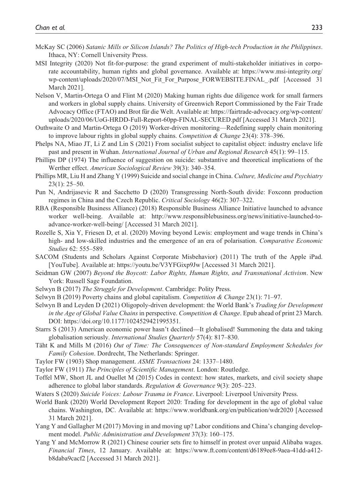- McKay SC (2006) *Satanic Mills or Silicon Islands? The Politics of High-tech Production in the Philippines*. Ithaca, NY: Cornell University Press.
- MSI Integrity (2020) Not fit-for-purpose: the grand experiment of multi-stakeholder initiatives in corporate accountability, human rights and global governance. Available at: [https://www.msi-integrity.org/](https://www.msi-integrity.org/wp-content/uploads/2020/07/MSI_Not_Fit_For_Purpose_FORWEBSITE.FINAL_.pdf) [wp-content/uploads/2020/07/MSI\\_Not\\_Fit\\_For\\_Purpose\\_FORWEBSITE.FINAL\\_.pdf](https://www.msi-integrity.org/wp-content/uploads/2020/07/MSI_Not_Fit_For_Purpose_FORWEBSITE.FINAL_.pdf) [Accessed 31 March 2021].
- Nelson V, Martin-Ortega O and Flint M (2020) Making human rights due diligence work for small farmers and workers in global supply chains. University of Greenwich Report Commissioned by the Fair Trade Advocacy Office (FTAO) and Brot für die Welt. Available at: [https://fairtrade-advocacy.org/wp-content/](https://fairtrade-advocacy.org/wp-content/uploads/2020/06/UoG-HRDD-Full-Report-60pp-FINAL-SECURED.pdf) [uploads/2020/06/UoG-HRDD-Full-Report-60pp-FINAL-SECURED.pdf](https://fairtrade-advocacy.org/wp-content/uploads/2020/06/UoG-HRDD-Full-Report-60pp-FINAL-SECURED.pdf) [Accessed 31 March 2021].
- Outhwaite O and Martin-Ortega O (2019) Worker-driven monitoring—Redefining supply chain monitoring to improve labour rights in global supply chains. *Competition & Change* 23(4): 378–396.
- Phelps NA, Miao JT, Li Z and Lin S (2021) From socialist subject to capitalist object: industry enclave life past and present in Wuhan. *International Journal of Urban and Regional Research* 45(1): 99–115.
- Phillips DP (1974) The influence of suggestion on suicide: substantive and theoretical implications of the Werther effect. *American Sociological Review* 39(3): 340–354.
- Phillips MR, Liu H and Zhang Y (1999) Suicide and social change in China. *Culture, Medicine and Psychiatry* 23(1): 25–50.
- Pun N, Andrijasevic R and Sacchetto D (2020) Transgressing North-South divide: Foxconn production regimes in China and the Czech Republic. *Critical Sociology* 46(2): 307–322.
- RBA (Responsible Business Alliance) (2018) Responsible Business Alliance Initiative launched to advance worker well-being. Available at: [http://www.responsiblebusiness.org/news/initiative-launched-to](http://www.responsiblebusiness.org/news/initiative-launched-to-advance-worker-well-being/)[advance-worker-well-being/](http://www.responsiblebusiness.org/news/initiative-launched-to-advance-worker-well-being/) [Accessed 31 March 2021].
- Rozelle S, Xia Y, Friesen D, et al. (2020) Moving beyond Lewis: employment and wage trends in China's high- and low-skilled industries and the emergence of an era of polarisation. *Comparative Economic Studies* 62: 555–589.
- SACOM (Students and Scholars Against Corporate Misbehavior) (2011) The truth of the Apple iPad. [YouTube]. Available at:<https://youtu.be/V3YFGixp9Jw>[Accessed 31 March 2021].
- Seidman GW (2007) *Beyond the Boycott: Labor Rights, Human Rights, and Transnational Activism*. New York: Russell Sage Foundation.
- Selwyn B (2017) *The Struggle for Development*. Cambridge: Polity Press.
- Selwyn B (2019) Poverty chains and global capitalism. *Competition & Change* 23(1): 71–97.
- Selwyn B and Leyden D (2021) Oligopoly-driven development: the World Bank's *Trading for Development in the Age of Global Value Chains* in perspective. *Competition & Change*. Epub ahead of print 23 March. DOI: [https://doi.org/10.1177/1024529421995351.](https://doi.org/10.1177/1024529421995351)
- Starrs S (2013) American economic power hasn't declined—It globalised! Summoning the data and taking globalisation seriously. *International Studies Quarterly* 57(4): 817–830.
- Täht K and Mills M (2016) *Out of Time: The Consequences of Non-standard Employment Schedules for Family Cohesion*. Dordrecht, The Netherlands: Springer.
- Taylor FW (1903) Shop management. *ASME Transactions* 24: 1337–1480.
- Taylor FW (1911) *The Principles of Scientific Management*. London: Routledge.
- Toffel MW, Short JL and Ouellet M (2015) Codes in context: how states, markets, and civil society shape adherence to global labor standards. *Regulation & Governance* 9(3): 205–223.
- Waters S (2020) *Suicide Voices: Labour Trauma in France*. Liverpool: Liverpool University Press.
- World Bank (2020) World Development Report 2020: Trading for development in the age of global value chains. Washington, DC. Available at: <https://www.worldbank.org/en/publication/wdr2020> [Accessed 31 March 2021].
- Yang Y and Gallagher M (2017) Moving in and moving up? Labor conditions and China's changing development model. *Public Administration and Development* 37(3): 160–175.
- Yang Y and McMorrow R (2021) Chinese courier sets fire to himself in protest over unpaid Alibaba wages. *Financial Times*, 12 January. Available at: [https://www.ft.com/content/d6189ee8-9aea-41dd-a412](https://www.ft.com/content/d6189ee8-9aea-41dd-a412-b8daba9cacf2) [b8daba9cacf2](https://www.ft.com/content/d6189ee8-9aea-41dd-a412-b8daba9cacf2) [Accessed 31 March 2021].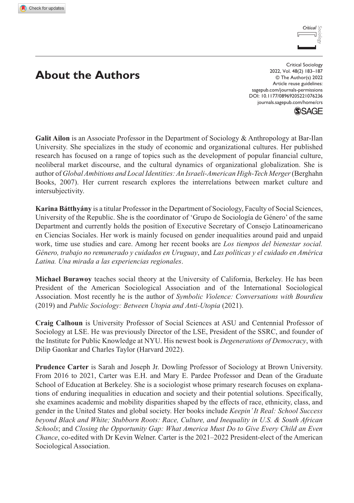

# **About the Authors**

DOI: 10.1177/08969205221076236 Critical Sociology 2022, Vol. 48(2) 183–187 © The Author(s) 2022 Article reuse guidelines: [sagepub.com/journals-permissions](https://uk.sagepub.com/en-gb/journals-permissions) [journals.sagepub.com/home/crs](https://journals.sagepub.com/home/crs)



**Galit Ailon** is an Associate Professor in the Department of Sociology & Anthropology at Bar-Ilan University. She specializes in the study of economic and organizational cultures. Her published research has focused on a range of topics such as the development of popular financial culture, neoliberal market discourse, and the cultural dynamics of organizational globalization. She is author of *Global Ambitions and Local Identities: An Israeli-American High-Tech Merger* (Berghahn Books, 2007). Her current research explores the interrelations between market culture and intersubjectivity.

**Karina Bátthyány** is a titular Professor in the Department of Sociology, Faculty of Social Sciences, University of the Republic. She is the coordinator of 'Grupo de Sociología de Género' of the same Department and currently holds the position of Executive Secretary of Consejo Latinoamericano en Ciencias Sociales. Her work is mainly focused on gender inequalities around paid and unpaid work, time use studies and care. Among her recent books are *Los tiempos del bienestar social. Género, trabajo no remunerado y cuidados en Uruguay*, and *Las políticas y el cuidado en América Latina. Una mirada a las experiencias regionales*.

**Michael Burawoy** teaches social theory at the University of California, Berkeley. He has been President of the American Sociological Association and of the International Sociological Association. Most recently he is the author of *Symbolic Violence: Conversations with Bourdieu* (2019) and *Public Sociology: Between Utopia and Anti-Utopia* (2021).

**Craig Calhoun** is University Professor of Social Sciences at ASU and Centennial Professor of Sociology at LSE. He was previously Director of the LSE, President of the SSRC, and founder of the Institute for Public Knowledge at NYU. His newest book is *Degenerations of Democracy*, with Dilip Gaonkar and Charles Taylor (Harvard 2022).

**Prudence Carter** is Sarah and Joseph Jr. Dowling Professor of Sociology at Brown University. From 2016 to 2021, Carter was E.H. and Mary E. Pardee Professor and Dean of the Graduate School of Education at Berkeley. She is a sociologist whose primary research focuses on explanations of enduring inequalities in education and society and their potential solutions. Specifically, she examines academic and mobility disparities shaped by the effects of race, ethnicity, class, and gender in the United States and global society. Her books include *Keepin' It Real: School Success beyond Black and White; Stubborn Roots: Race, Culture, and Inequality in U.S. & South African Schools*; and *Closing the Opportunity Gap: What America Must Do to Give Every Child an Even Chance*, co-edited with Dr Kevin Welner. Carter is the 2021–2022 President-elect of the American Sociological Association.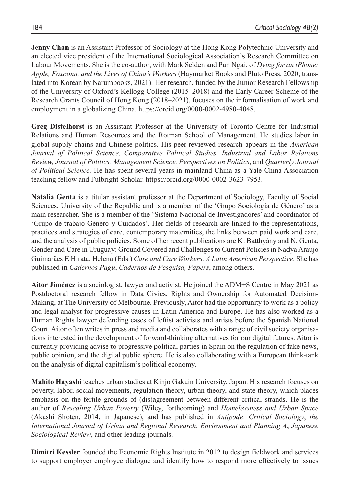**Jenny Chan** is an Assistant Professor of Sociology at the Hong Kong Polytechnic University and an elected vice president of the International Sociological Association's Research Committee on Labour Movements. She is the co-author, with Mark Selden and Pun Ngai, of *Dying for an iPhone: Apple, Foxconn, and the Lives of China's Workers* (Haymarket Books and Pluto Press, 2020; translated into Korean by Narumbooks, 2021). Her research, funded by the Junior Research Fellowship of the University of Oxford's Kellogg College (2015–2018) and the Early Career Scheme of the Research Grants Council of Hong Kong (2018–2021), focuses on the informalisation of work and employment in a globalizing China. <https://orcid.org/0000-0002-4980-4048>.

**Greg Distelhorst** is an Assistant Professor at the University of Toronto Centre for Industrial Relations and Human Resources and the Rotman School of Management. He studies labor in global supply chains and Chinese politics. His peer-reviewed research appears in the *American Journal of Political Science, Comparative Political Studies, Industrial and Labor Relations Review, Journal of Politics, Management Science, Perspectives on Politics*, and *Quarterly Journal of Political Science.* He has spent several years in mainland China as a Yale-China Association teaching fellow and Fulbright Scholar. <https://orcid.org/0000-0002-3623-7953>.

**Natalia Genta** is a titular assistant professor at the Department of Sociology, Faculty of Social Sciences, University of the Republic and is a member of the 'Grupo Sociología de Género' as a main researcher. She is a member of the 'Sistema Nacional de Investigadores' and coordinator of 'Grupo de trabajo Género y Cuidados'. Her fields of research are linked to the representations, practices and strategies of care, contemporary maternities, the links between paid work and care, and the analysis of public policies. Some of her recent publications are K. Batthyány and N. Genta, Gender and Care in Uruguay: Ground Covered and Challenges to Current Policies in Nadya Araujo Guimarães E Hirata, Helena (Eds.) *Care and Care Workers. A Latin American Perspective*. She has published in *Cadernos Pagu*, *Cadernos de Pesquisa, Papers*, among others.

**Aitor Jiménez** is a sociologist, lawyer and activist. He joined the ADM+S Centre in May 2021 as Postdoctoral research fellow in Data Civics, Rights and Ownership for Automated Decision-Making, at The University of Melbourne. Previously, Aitor had the opportunity to work as a policy and legal analyst for progressive causes in Latin America and Europe. He has also worked as a Human Rights lawyer defending cases of leftist activists and artists before the Spanish National Court. Aitor often writes in press and media and collaborates with a range of civil society organisations interested in the development of forward-thinking alternatives for our digital futures. Aitor is currently providing advise to progressive political parties in Spain on the regulation of fake news, public opinion, and the digital public sphere. He is also collaborating with a European think-tank on the analysis of digital capitalism's political economy.

**Mahito Hayashi** teaches urban studies at Kinjo Gakuin University, Japan. His research focuses on poverty, labor, social movements, regulation theory, urban theory, and state theory, which places emphasis on the fertile grounds of (dis)agreement between different critical strands. He is the author of *Rescaling Urban Poverty* (Wiley, forthcoming) and *Homelessness and Urban Space* (Akashi Shoten, 2014, in Japanese), and has published in *Antipode, Critical Sociology*, *the International Journal of Urban and Regional Research*, *Environment and Planning A*, *Japanese Sociological Review*, and other leading journals.

**Dimitri Kessler** founded the Economic Rights Institute in 2012 to design fieldwork and services to support employer employee dialogue and identify how to respond more effectively to issues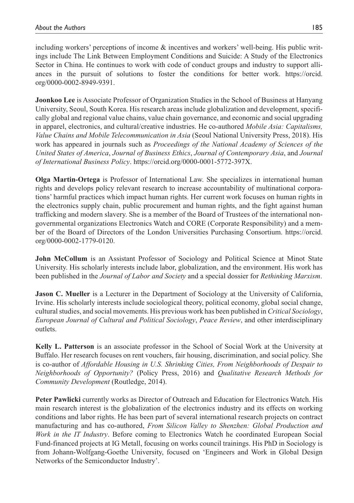including workers' perceptions of income & incentives and workers' well-being. His public writings include The Link Between Employment Conditions and Suicide: A Study of the Electronics Sector in China. He continues to work with code of conduct groups and industry to support alliances in the pursuit of solutions to foster the conditions for better work. [https://orcid.](https://orcid.org/0000-0002-8949-9391) [org/0000-0002-8949-9391](https://orcid.org/0000-0002-8949-9391).

**Joonkoo Lee** is Associate Professor of Organization Studies in the School of Business at Hanyang University, Seoul, South Korea. His research areas include globalization and development, specifically global and regional value chains, value chain governance, and economic and social upgrading in apparel, electronics, and cultural/creative industries. He co-authored *Mobile Asia: Capitalisms, Value Chains and Mobile Telecommunication in Asia* (Seoul National University Press, 2018). His work has appeared in journals such as *Proceedings of the National Academy of Sciences of the United States of America*, *Journal of Business Ethics*, *Journal of Contemporary Asia*, and *Journal of International Business Policy*. [https://orcid.org/0000-0001-5772-397X.](https://orcid.org/0000-0001-5772-397X)

**Olga Martin-Ortega** is Professor of International Law. She specializes in international human rights and develops policy relevant research to increase accountability of multinational corporations' harmful practices which impact human rights. Her current work focuses on human rights in the electronics supply chain, public procurement and human rights, and the fight against human trafficking and modern slavery. She is a member of the Board of Trustees of the international nongovernmental organizations Electronics Watch and CORE (Corporate Responsibility) and a member of the Board of Directors of the London Universities Purchasing Consortium. [https://orcid.](https://orcid.org/0000-0002-1779-0120) [org/0000-0002-1779-0120](https://orcid.org/0000-0002-1779-0120).

**John McCollum** is an Assistant Professor of Sociology and Political Science at Minot State University. His scholarly interests include labor, globalization, and the environment. His work has been published in the *Journal of Labor and Society* and a special dossier for *Rethinking Marxism*.

**Jason C. Mueller** is a Lecturer in the Department of Sociology at the University of California, Irvine. His scholarly interests include sociological theory, political economy, global social change, cultural studies, and social movements. His previous work has been published in *Critical Sociology*, *European Journal of Cultural and Political Sociology*, *Peace Review*, and other interdisciplinary outlets.

**Kelly L. Patterson** is an associate professor in the School of Social Work at the University at Buffalo. Her research focuses on rent vouchers, fair housing, discrimination, and social policy. She is co-author of *Affordable Housing in U.S. Shrinking Cities, From Neighborhoods of Despair to Neighborhoods of Opportunity?* (Policy Press, 2016) and *Qualitative Research Methods for Community Development* (Routledge, 2014).

**Peter Pawlicki** currently works as Director of Outreach and Education for Electronics Watch. His main research interest is the globalization of the electronics industry and its effects on working conditions and labor rights. He has been part of several international research projects on contract manufacturing and has co-authored, *From Silicon Valley to Shenzhen: Global Production and Work in the IT Industry*. Before coming to Electronics Watch he coordinated European Social Fund-financed projects at IG Metall, focusing on works council trainings. His PhD in Sociology is from Johann-Wolfgang-Goethe University, focused on 'Engineers and Work in Global Design Networks of the Semiconductor Industry'.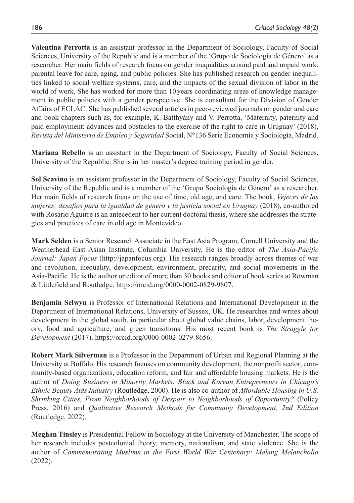**Valentina Perrotta** is an assistant professor in the Department of Sociology, Faculty of Social Sciences, University of the Republic and is a member of the 'Grupo de Sociología de Género' as a researcher. Her main fields of research focus on gender inequalities around paid and unpaid work, parental leave for care, aging, and public policies. She has published research on gender inequalities linked to social welfare systems, care, and the impacts of the sexual division of labor in the world of work. She has worked for more than 10years coordinating areas of knowledge management in public policies with a gender perspective. She is consultant for the Division of Gender Affairs of ECLAC. She has published several articles in peer-reviewed journals on gender and care and book chapters such as, for example, K. Batthyány and V. Perrotta, 'Maternity, paternity and paid employment: advances and obstacles to the exercise of the right to care in Uruguay' (2018), *Revista del Ministerio de Empleo y Seguridad* Social, N°136 Serie Economía y Sociología, Madrid.

**Mariana Rebello** is an assistant in the Department of Sociology, Faculty of Social Sciences, University of the Republic. She is in her master's degree training period in gender.

**Sol Scavino** is an assistant professor in the Department of Sociology, Faculty of Social Sciences, University of the Republic and is a member of the 'Grupo Sociología de Género' as a researcher. Her main fields of research focus on the use of time, old age, and care. The book, *Vejeces de las mujeres: desafíos para la igualdad de género y la justicia social en Uruguay* (2018), co-authored with Rosario Aguirre is an antecedent to her current doctoral thesis, where she addresses the strategies and practices of care in old age in Montevideo.

**Mark Selden** is a Senior Research Associate in the East Asia Program, Cornell University and the Weatherhead East Asian Institute, Columbia University. He is the editor of *The Asia-Pacific Journal: Japan Focus* ([http://japanfocus.org\). His research ranges broadly across themes of war](http://japanfocus.org). His research ranges broadly across themes of war and revolution, inequality, development, environment, precarity, and social movements in the Asia-Pacific. He is the author or editor of more than 30 books and editor of book series at Rowman & Littlefield and Routledge. https://orcid.org/0000-0002-0829-9807)  [and revolution, inequality, development, environment, precarity, and social movements in the](http://japanfocus.org). His research ranges broadly across themes of war and revolution, inequality, development, environment, precarity, and social movements in the Asia-Pacific. He is the author or editor of more than 30 books and editor of book series at Rowman & Littlefield and Routledge. https://orcid.org/0000-0002-0829-9807)  [Asia-Pacific. He is the author or editor of more than 30 books and editor of book series at Rowman](http://japanfocus.org). His research ranges broadly across themes of war and revolution, inequality, development, environment, precarity, and social movements in the Asia-Pacific. He is the author or editor of more than 30 books and editor of book series at Rowman & Littlefield and Routledge. https://orcid.org/0000-0002-0829-9807)  [& Littlefield and Routledge. https://orcid.org/0000-0002-0829-9807](http://japanfocus.org). His research ranges broadly across themes of war and revolution, inequality, development, environment, precarity, and social movements in the Asia-Pacific. He is the author or editor of more than 30 books and editor of book series at Rowman & Littlefield and Routledge. https://orcid.org/0000-0002-0829-9807).

**Benjamin Selwyn** is Professor of International Relations and International Development in the Department of International Relations, University of Sussex, UK. He researches and writes about development in the global south, in particular about global value chains, labor, development theory, food and agriculture, and green transitions. His most recent book is *The Struggle for Development* (2017).<https://orcid.org/0000-0002-0279-8656>.

**Robert Mark Silverman** is a Professor in the Department of Urban and Regional Planning at the University at Buffalo. His research focuses on community development, the nonprofit sector, community-based organizations, education reform, and fair and affordable housing markets. He is the author of *Doing Business in Minority Markets: Black and Korean Entrepreneurs in Chicago's Ethnic Beauty Aids Industry* (Routledge, 2000). He is also co-author of *Affordable Housing in U.S. Shrinking Cities, From Neighborhoods of Despair to Neighborhoods of Opportunity?* (Policy Press, 2016) and *Qualitative Research Methods for Community Development, 2nd Edition* (Routledge, 2022).

**Meghan Tinsley** is Presidential Fellow in Sociology at the University of Manchester. The scope of her research includes postcolonial theory, memory, nationalism, and state violence. She is the author of *Commemorating Muslims in the First World War Centenary: Making Melancholia* (2022).